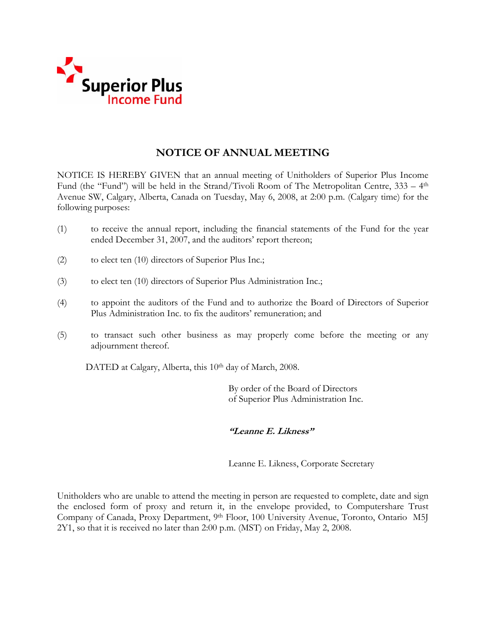

# **NOTICE OF ANNUAL MEETING**

NOTICE IS HEREBY GIVEN that an annual meeting of Unitholders of Superior Plus Income Fund (the "Fund") will be held in the Strand/Tivoli Room of The Metropolitan Centre, 333 – 4th Avenue SW, Calgary, Alberta, Canada on Tuesday, May 6, 2008, at 2:00 p.m. (Calgary time) for the following purposes:

- (1) to receive the annual report, including the financial statements of the Fund for the year ended December 31, 2007, and the auditors' report thereon;
- (2) to elect ten (10) directors of Superior Plus Inc.;
- (3) to elect ten (10) directors of Superior Plus Administration Inc.;
- (4) to appoint the auditors of the Fund and to authorize the Board of Directors of Superior Plus Administration Inc. to fix the auditors' remuneration; and
- (5) to transact such other business as may properly come before the meeting or any adjournment thereof.

DATED at Calgary, Alberta, this 10<sup>th</sup> day of March, 2008.

 By order of the Board of Directors of Superior Plus Administration Inc.

# **"Leanne E. Likness"**

Leanne E. Likness, Corporate Secretary

Unitholders who are unable to attend the meeting in person are requested to complete, date and sign the enclosed form of proxy and return it, in the envelope provided, to Computershare Trust Company of Canada, Proxy Department, 9th Floor, 100 University Avenue, Toronto, Ontario M5J 2Y1, so that it is received no later than 2:00 p.m. (MST) on Friday, May 2, 2008.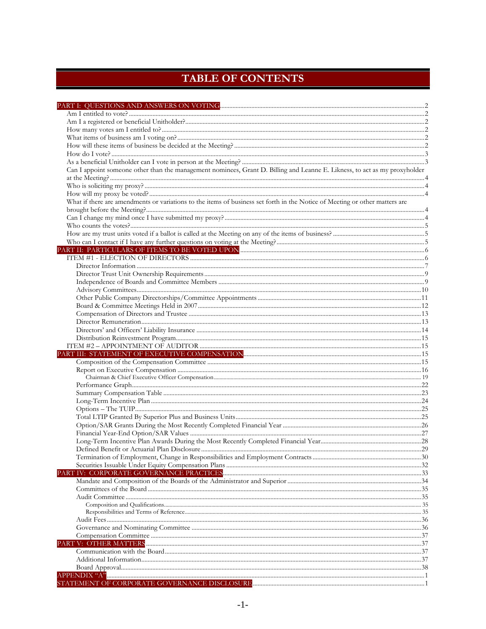# TABLE OF CONTENTS

| Can I appoint someone other than the management nominees, Grant D. Billing and Leanne E. Likness, to act as my proxyholder  |  |
|-----------------------------------------------------------------------------------------------------------------------------|--|
|                                                                                                                             |  |
|                                                                                                                             |  |
| What if there are amendments or variations to the items of business set forth in the Notice of Meeting or other matters are |  |
|                                                                                                                             |  |
|                                                                                                                             |  |
|                                                                                                                             |  |
|                                                                                                                             |  |
|                                                                                                                             |  |
|                                                                                                                             |  |
|                                                                                                                             |  |
|                                                                                                                             |  |
|                                                                                                                             |  |
|                                                                                                                             |  |
|                                                                                                                             |  |
|                                                                                                                             |  |
|                                                                                                                             |  |
|                                                                                                                             |  |
|                                                                                                                             |  |
|                                                                                                                             |  |
|                                                                                                                             |  |
|                                                                                                                             |  |
|                                                                                                                             |  |
|                                                                                                                             |  |
|                                                                                                                             |  |
|                                                                                                                             |  |
|                                                                                                                             |  |
|                                                                                                                             |  |
|                                                                                                                             |  |
|                                                                                                                             |  |
|                                                                                                                             |  |
|                                                                                                                             |  |
|                                                                                                                             |  |
|                                                                                                                             |  |
|                                                                                                                             |  |
|                                                                                                                             |  |
|                                                                                                                             |  |
|                                                                                                                             |  |
|                                                                                                                             |  |
|                                                                                                                             |  |
|                                                                                                                             |  |
|                                                                                                                             |  |
|                                                                                                                             |  |
|                                                                                                                             |  |
|                                                                                                                             |  |
|                                                                                                                             |  |
|                                                                                                                             |  |
|                                                                                                                             |  |
|                                                                                                                             |  |
| OF CORDORATE COVERNANCE DISCI OSHRE                                                                                         |  |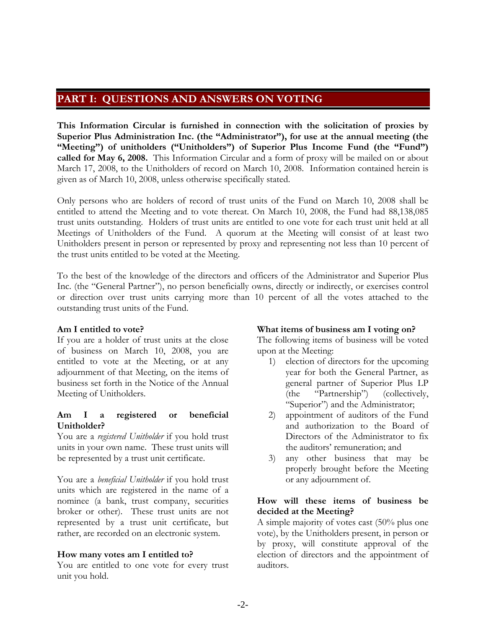# **PART I: QUESTIONS AND ANSWERS ON VOTING**

**This Information Circular is furnished in connection with the solicitation of proxies by Superior Plus Administration Inc. (the "Administrator"), for use at the annual meeting (the "Meeting") of unitholders ("Unitholders") of Superior Plus Income Fund (the "Fund") called for May 6, 2008.** This Information Circular and a form of proxy will be mailed on or about March 17, 2008, to the Unitholders of record on March 10, 2008. Information contained herein is given as of March 10, 2008, unless otherwise specifically stated.

Only persons who are holders of record of trust units of the Fund on March 10, 2008 shall be entitled to attend the Meeting and to vote thereat. On March 10, 2008, the Fund had 88,138,085 trust units outstanding. Holders of trust units are entitled to one vote for each trust unit held at all Meetings of Unitholders of the Fund. A quorum at the Meeting will consist of at least two Unitholders present in person or represented by proxy and representing not less than 10 percent of the trust units entitled to be voted at the Meeting.

To the best of the knowledge of the directors and officers of the Administrator and Superior Plus Inc. (the "General Partner"), no person beneficially owns, directly or indirectly, or exercises control or direction over trust units carrying more than 10 percent of all the votes attached to the outstanding trust units of the Fund.

# **Am I entitled to vote?**

If you are a holder of trust units at the close of business on March 10, 2008, you are entitled to vote at the Meeting, or at any adjournment of that Meeting, on the items of business set forth in the Notice of the Annual Meeting of Unitholders.

# **Am I a registered or beneficial Unitholder?**

You are a *registered Unitholder* if you hold trust units in your own name. These trust units will be represented by a trust unit certificate.

You are a *beneficial Unitholder* if you hold trust units which are registered in the name of a nominee (a bank, trust company, securities broker or other). These trust units are not represented by a trust unit certificate, but rather, are recorded on an electronic system.

# **How many votes am I entitled to?**

You are entitled to one vote for every trust unit you hold.

# **What items of business am I voting on?**

The following items of business will be voted upon at the Meeting:

- 1) election of directors for the upcoming year for both the General Partner, as general partner of Superior Plus LP (the "Partnership") (collectively, "Superior") and the Administrator;
- 2) appointment of auditors of the Fund and authorization to the Board of Directors of the Administrator to fix the auditors' remuneration; and
- 3) any other business that may be properly brought before the Meeting or any adjournment of.

# **How will these items of business be decided at the Meeting?**

A simple majority of votes cast (50% plus one vote), by the Unitholders present, in person or by proxy, will constitute approval of the election of directors and the appointment of auditors.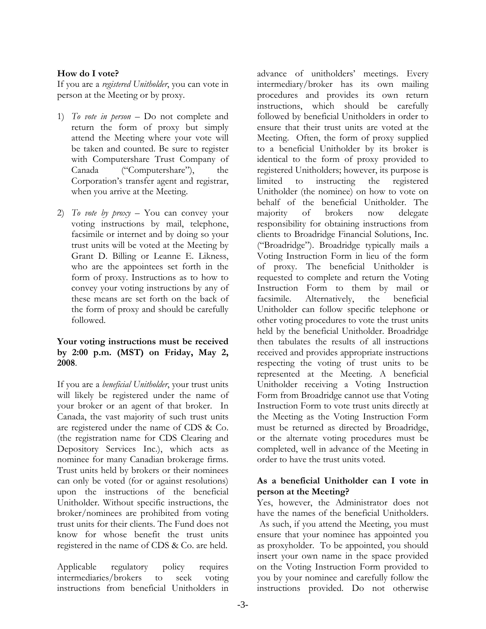# **How do I vote?**

If you are a *registered Unitholder*, you can vote in person at the Meeting or by proxy.

- 1) *To vote in person*  Do not complete and return the form of proxy but simply attend the Meeting where your vote will be taken and counted. Be sure to register with Computershare Trust Company of Canada ("Computershare"), the Corporation's transfer agent and registrar, when you arrive at the Meeting.
- 2) *To vote by proxy*  You can convey your voting instructions by mail, telephone, facsimile or internet and by doing so your trust units will be voted at the Meeting by Grant D. Billing or Leanne E. Likness, who are the appointees set forth in the form of proxy. Instructions as to how to convey your voting instructions by any of these means are set forth on the back of the form of proxy and should be carefully followed.

# **Your voting instructions must be received by 2:00 p.m. (MST) on Friday, May 2, 2008**.

If you are a *beneficial Unitholder*, your trust units will likely be registered under the name of your broker or an agent of that broker. In Canada, the vast majority of such trust units are registered under the name of CDS & Co. (the registration name for CDS Clearing and Depository Services Inc.), which acts as nominee for many Canadian brokerage firms. Trust units held by brokers or their nominees can only be voted (for or against resolutions) upon the instructions of the beneficial Unitholder. Without specific instructions, the broker/nominees are prohibited from voting trust units for their clients. The Fund does not know for whose benefit the trust units registered in the name of CDS & Co. are held.

Applicable regulatory policy requires intermediaries/brokers to seek voting instructions from beneficial Unitholders in advance of unitholders' meetings. Every intermediary/broker has its own mailing procedures and provides its own return instructions, which should be carefully followed by beneficial Unitholders in order to ensure that their trust units are voted at the Meeting. Often, the form of proxy supplied to a beneficial Unitholder by its broker is identical to the form of proxy provided to registered Unitholders; however, its purpose is limited to instructing the registered Unitholder (the nominee) on how to vote on behalf of the beneficial Unitholder. The majority of brokers now delegate responsibility for obtaining instructions from clients to Broadridge Financial Solutions, Inc. ("Broadridge"). Broadridge typically mails a Voting Instruction Form in lieu of the form of proxy. The beneficial Unitholder is requested to complete and return the Voting Instruction Form to them by mail or facsimile. Alternatively, the beneficial Unitholder can follow specific telephone or other voting procedures to vote the trust units held by the beneficial Unitholder. Broadridge then tabulates the results of all instructions received and provides appropriate instructions respecting the voting of trust units to be represented at the Meeting. A beneficial Unitholder receiving a Voting Instruction Form from Broadridge cannot use that Voting Instruction Form to vote trust units directly at the Meeting as the Voting Instruction Form must be returned as directed by Broadridge, or the alternate voting procedures must be completed, well in advance of the Meeting in order to have the trust units voted.

# **As a beneficial Unitholder can I vote in person at the Meeting?**

Yes, however, the Administrator does not have the names of the beneficial Unitholders. As such, if you attend the Meeting, you must ensure that your nominee has appointed you as proxyholder. To be appointed, you should insert your own name in the space provided on the Voting Instruction Form provided to you by your nominee and carefully follow the instructions provided. Do not otherwise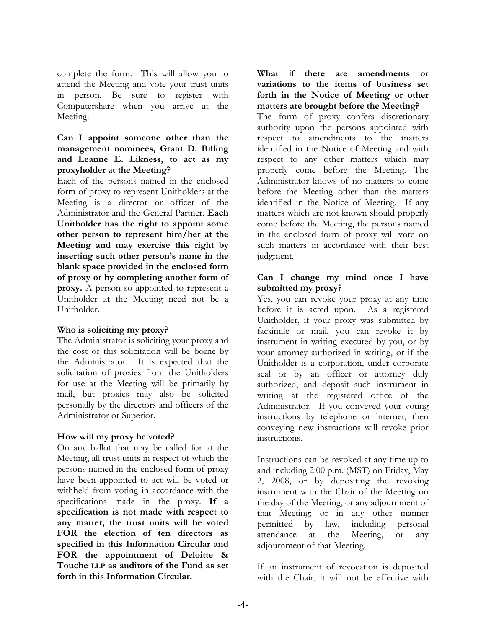complete the form. This will allow you to attend the Meeting and vote your trust units in person. Be sure to register with Computershare when you arrive at the Meeting.

# **Can I appoint someone other than the management nominees, Grant D. Billing and Leanne E. Likness, to act as my proxyholder at the Meeting?**

Each of the persons named in the enclosed form of proxy to represent Unitholders at the Meeting is a director or officer of the Administrator and the General Partner. **Each Unitholder has the right to appoint some other person to represent him/her at the Meeting and may exercise this right by inserting such other person's name in the blank space provided in the enclosed form of proxy or by completing another form of proxy.** A person so appointed to represent a Unitholder at the Meeting need not be a Unitholder.

# **Who is soliciting my proxy?**

The Administrator is soliciting your proxy and the cost of this solicitation will be borne by the Administrator. It is expected that the solicitation of proxies from the Unitholders for use at the Meeting will be primarily by mail, but proxies may also be solicited personally by the directors and officers of the Administrator or Superior.

# **How will my proxy be voted?**

On any ballot that may be called for at the Meeting, all trust units in respect of which the persons named in the enclosed form of proxy have been appointed to act will be voted or withheld from voting in accordance with the specifications made in the proxy. **If a specification is not made with respect to any matter, the trust units will be voted FOR the election of ten directors as specified in this Information Circular and FOR the appointment of Deloitte & Touche LLP as auditors of the Fund as set forth in this Information Circular.** 

**What if there are amendments or variations to the items of business set forth in the Notice of Meeting or other matters are brought before the Meeting?**

The form of proxy confers discretionary authority upon the persons appointed with respect to amendments to the matters identified in the Notice of Meeting and with respect to any other matters which may properly come before the Meeting. The Administrator knows of no matters to come before the Meeting other than the matters identified in the Notice of Meeting. If any matters which are not known should properly come before the Meeting, the persons named in the enclosed form of proxy will vote on such matters in accordance with their best judgment.

# **Can I change my mind once I have submitted my proxy?**

Yes, you can revoke your proxy at any time before it is acted upon. As a registered Unitholder, if your proxy was submitted by facsimile or mail, you can revoke it by instrument in writing executed by you, or by your attorney authorized in writing, or if the Unitholder is a corporation, under corporate seal or by an officer or attorney duly authorized, and deposit such instrument in writing at the registered office of the Administrator. If you conveyed your voting instructions by telephone or internet, then conveying new instructions will revoke prior instructions.

Instructions can be revoked at any time up to and including 2:00 p.m. (MST) on Friday, May 2, 2008, or by depositing the revoking instrument with the Chair of the Meeting on the day of the Meeting, or any adjournment of that Meeting; or in any other manner permitted by law, including personal attendance at the Meeting, or any adjournment of that Meeting.

If an instrument of revocation is deposited with the Chair, it will not be effective with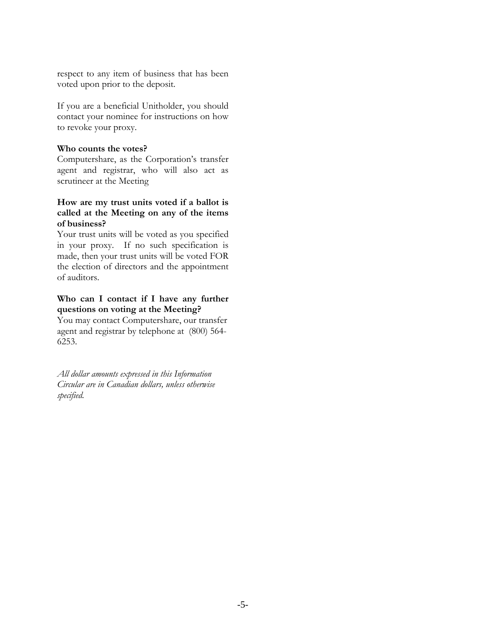respect to any item of business that has been voted upon prior to the deposit.

If you are a beneficial Unitholder, you should contact your nominee for instructions on how to revoke your proxy.

#### **Who counts the votes?**

Computershare, as the Corporation's transfer agent and registrar, who will also act as scrutineer at the Meeting

# **How are my trust units voted if a ballot is called at the Meeting on any of the items of business?**

Your trust units will be voted as you specified in your proxy. If no such specification is made, then your trust units will be voted FOR the election of directors and the appointment of auditors.

# **Who can I contact if I have any further questions on voting at the Meeting?**

You may contact Computershare, our transfer agent and registrar by telephone at (800) 564- 6253.

*All dollar amounts expressed in this Information Circular are in Canadian dollars, unless otherwise specified.*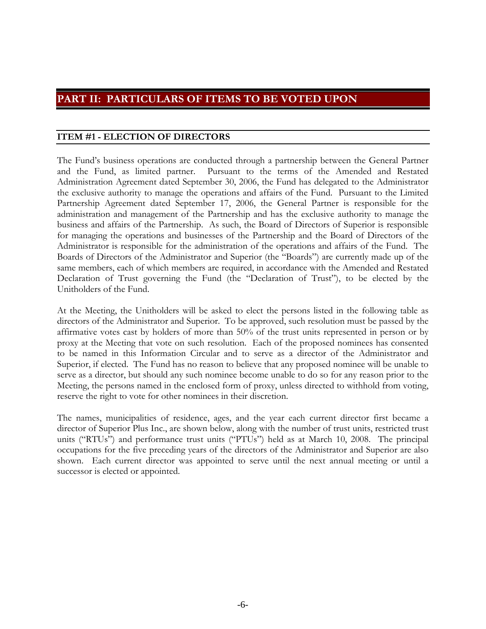# **PART II: PARTICULARS OF ITEMS TO BE VOTED UPON**

# **ITEM #1 - ELECTION OF DIRECTORS**

The Fund's business operations are conducted through a partnership between the General Partner and the Fund, as limited partner. Pursuant to the terms of the Amended and Restated Administration Agreement dated September 30, 2006, the Fund has delegated to the Administrator the exclusive authority to manage the operations and affairs of the Fund. Pursuant to the Limited Partnership Agreement dated September 17, 2006, the General Partner is responsible for the administration and management of the Partnership and has the exclusive authority to manage the business and affairs of the Partnership. As such, the Board of Directors of Superior is responsible for managing the operations and businesses of the Partnership and the Board of Directors of the Administrator is responsible for the administration of the operations and affairs of the Fund. The Boards of Directors of the Administrator and Superior (the "Boards") are currently made up of the same members, each of which members are required, in accordance with the Amended and Restated Declaration of Trust governing the Fund (the "Declaration of Trust"), to be elected by the Unitholders of the Fund.

At the Meeting, the Unitholders will be asked to elect the persons listed in the following table as directors of the Administrator and Superior. To be approved, such resolution must be passed by the affirmative votes cast by holders of more than 50% of the trust units represented in person or by proxy at the Meeting that vote on such resolution. Each of the proposed nominees has consented to be named in this Information Circular and to serve as a director of the Administrator and Superior, if elected. The Fund has no reason to believe that any proposed nominee will be unable to serve as a director, but should any such nominee become unable to do so for any reason prior to the Meeting, the persons named in the enclosed form of proxy, unless directed to withhold from voting, reserve the right to vote for other nominees in their discretion.

The names, municipalities of residence, ages, and the year each current director first became a director of Superior Plus Inc., are shown below, along with the number of trust units, restricted trust units ("RTUs") and performance trust units ("PTUs") held as at March 10, 2008. The principal occupations for the five preceding years of the directors of the Administrator and Superior are also shown.Each current director was appointed to serve until the next annual meeting or until a successor is elected or appointed.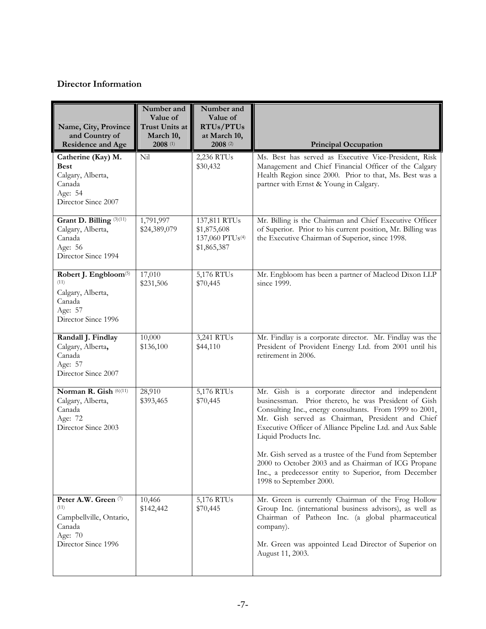# **Director Information**

| Name, City, Province<br>and Country of<br><b>Residence and Age</b>                                         | Number and<br>Value of<br>Trust Units at<br>March 10,<br>$2008$ <sup>(1)</sup> | Number and<br>Value of<br>RTUs/PTUs<br>at March 10,<br>$2008$ (2) | <b>Principal Occupation</b>                                                                                                                                                                                                                                                                                                                                                                                                                                                             |
|------------------------------------------------------------------------------------------------------------|--------------------------------------------------------------------------------|-------------------------------------------------------------------|-----------------------------------------------------------------------------------------------------------------------------------------------------------------------------------------------------------------------------------------------------------------------------------------------------------------------------------------------------------------------------------------------------------------------------------------------------------------------------------------|
| Catherine (Kay) M.<br><b>Best</b><br>Calgary, Alberta,<br>Canada<br>Age: 54<br>Director Since 2007         | Nil                                                                            | 2,236 RTUs<br>\$30,432                                            | Ms. Best has served as Executive Vice-President, Risk<br>Management and Chief Financial Officer of the Calgary<br>Health Region since 2000. Prior to that, Ms. Best was a<br>partner with Ernst & Young in Calgary.                                                                                                                                                                                                                                                                     |
| Grant D. Billing <sup>(3)(11)</sup><br>Calgary, Alberta,<br>Canada<br>Age: 56<br>Director Since 1994       | 1,791,997<br>\$24,389,079                                                      | 137,811 RTUs<br>\$1,875,608<br>137,060 PTUs(4)<br>\$1,865,387     | Mr. Billing is the Chairman and Chief Executive Officer<br>of Superior. Prior to his current position, Mr. Billing was<br>the Executive Chairman of Superior, since 1998.                                                                                                                                                                                                                                                                                                               |
| Robert J. Engbloom <sup>(5)</sup><br>(11)<br>Calgary, Alberta,<br>Canada<br>Age: 57<br>Director Since 1996 | 17,010<br>\$231,506                                                            | 5,176 RTUs<br>\$70,445                                            | Mr. Engbloom has been a partner of Macleod Dixon LLP<br>since 1999.                                                                                                                                                                                                                                                                                                                                                                                                                     |
| Randall J. Findlay<br>Calgary, Alberta,<br>Canada<br>Age: 57<br>Director Since 2007                        | 10,000<br>\$136,100                                                            | 3,241 RTUs<br>\$44,110                                            | Mr. Findlay is a corporate director. Mr. Findlay was the<br>President of Provident Energy Ltd. from 2001 until his<br>retirement in 2006.                                                                                                                                                                                                                                                                                                                                               |
| Norman R. Gish (6)(11)<br>Calgary, Alberta,<br>Canada<br>Age: 72<br>Director Since 2003                    | 28,910<br>\$393,465                                                            | 5,176 RTUs<br>\$70,445                                            | Mr. Gish is a corporate director and independent<br>businessman. Prior thereto, he was President of Gish<br>Consulting Inc., energy consultants. From 1999 to 2001,<br>Mr. Gish served as Chairman, President and Chief<br>Executive Officer of Alliance Pipeline Ltd. and Aux Sable<br>Liquid Products Inc.<br>Mr. Gish served as a trustee of the Fund from September<br>2000 to October 2003 and as Chairman of ICG Propane<br>Inc., a predecessor entity to Superior, from December |
| Peter A.W. Green (7)<br>(11)<br>Campbellville, Ontario,                                                    | 10,466<br>\$142,442                                                            | 5,176 RTUs<br>\$70,445                                            | 1998 to September 2000.<br>Mr. Green is currently Chairman of the Frog Hollow<br>Group Inc. (international business advisors), as well as<br>Chairman of Patheon Inc. (a global pharmaceutical                                                                                                                                                                                                                                                                                          |
| Canada<br>Age: 70<br>Director Since 1996                                                                   |                                                                                |                                                                   | company).<br>Mr. Green was appointed Lead Director of Superior on<br>August 11, 2003.                                                                                                                                                                                                                                                                                                                                                                                                   |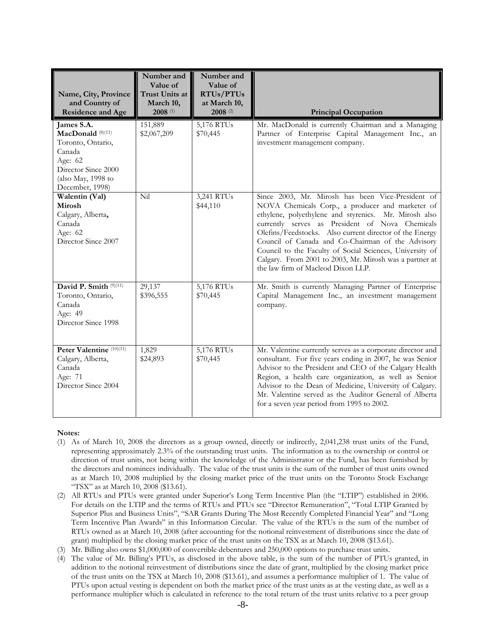| Name, City, Province<br>and Country of<br><b>Residence and Age</b>                                                                                   | Number and<br>Value of<br>Trust Units at<br>March 10,<br>$2008$ <sup>(1)</sup> | Number and<br>Value of<br>RTUs/PTUs<br>at March 10,<br>$2008$ <sup>(2)</sup> | <b>Principal Occupation</b>                                                                                                                                                                                                                                                                                                                                                                                                                                                                    |
|------------------------------------------------------------------------------------------------------------------------------------------------------|--------------------------------------------------------------------------------|------------------------------------------------------------------------------|------------------------------------------------------------------------------------------------------------------------------------------------------------------------------------------------------------------------------------------------------------------------------------------------------------------------------------------------------------------------------------------------------------------------------------------------------------------------------------------------|
| James S.A.<br>MacDonald <sup>(8)(11)</sup><br>Toronto, Ontario,<br>Canada<br>Age: 62<br>Director Since 2000<br>(also May, 1998 to<br>December, 1998) | 151,889<br>\$2,067,209                                                         | 5,176 RTUs<br>\$70,445                                                       | Mr. MacDonald is currently Chairman and a Managing<br>Partner of Enterprise Capital Management Inc., an<br>investment management company.                                                                                                                                                                                                                                                                                                                                                      |
| Walentin (Val)<br>Mirosh<br>Calgary, Alberta,<br>Canada<br>Age: 62<br>Director Since 2007                                                            | Nil                                                                            | 3,241 RTUs<br>\$44,110                                                       | Since 2003, Mr. Mirosh has been Vice-President of<br>NOVA Chemicals Corp., a producer and marketer of<br>ethylene, polyethylene and styrenics. Mr. Mirosh also<br>currently serves as President of Nova Chemicals<br>Olefins/Feedstocks. Also current director of the Energy<br>Council of Canada and Co-Chairman of the Advisory<br>Council to the Faculty of Social Sciences, University of<br>Calgary. From 2001 to 2003, Mr. Mirosh was a partner at<br>the law firm of Macleod Dixon LLP. |
| David P. Smith (9)(11)<br>Toronto, Ontario,<br>Canada<br>Age: 49<br>Director Since 1998                                                              | 29,137<br>\$396,555                                                            | 5,176 RTUs<br>\$70,445                                                       | Mr. Smith is currently Managing Partner of Enterprise<br>Capital Management Inc., an investment management<br>company.                                                                                                                                                                                                                                                                                                                                                                         |
| Peter Valentine (10)(11)<br>Calgary, Alberta,<br>Canada<br>Age: 71<br>Director Since 2004                                                            | 1,829<br>\$24,893                                                              | 5,176 RTUs<br>\$70,445                                                       | Mr. Valentine currently serves as a corporate director and<br>consultant. For five years ending in 2007, he was Senior<br>Advisor to the President and CEO of the Calgary Health<br>Region, a health care organization, as well as Senior<br>Advisor to the Dean of Medicine, University of Calgary.<br>Mr. Valentine served as the Auditor General of Alberta<br>for a seven year period from 1995 to 2002.                                                                                   |

- (1) As of March 10, 2008 the directors as a group owned, directly or indirectly, 2,041,238 trust units of the Fund, representing approximately 2.3% of the outstanding trust units. The information as to the ownership or control or direction of trust units, not being within the knowledge of the Administrator or the Fund, has been furnished by the directors and nominees individually. The value of the trust units is the sum of the number of trust units owned as at March 10, 2008 multiplied by the closing market price of the trust units on the Toronto Stock Exchange "TSX" as at March 10, 2008 (\$13.61).
- (2) All RTUs and PTUs were granted under Superior's Long Term Incentive Plan (the "LTIP") established in 2006. For details on the LTIP and the terms of RTUs and PTUs see "Director Remuneration", "Total LTIP Granted by Superior Plus and Business Units", "SAR Grants During The Most Recently Completed Financial Year" and "Long Term Incentive Plan Awards" in this Information Circular. The value of the RTUs is the sum of the number of RTUs owned as at March 10, 2008 (after accounting for the notional reinvestment of distributions since the date of grant) multiplied by the closing market price of the trust units on the TSX as at March 10, 2008 (\$13.61).
- (3) Mr. Billing also owns \$1,000,000 of convertible debentures and 250,000 options to purchase trust units.
- (4) The value of Mr. Billing's PTUs, as disclosed in the above table, is the sum of the number of PTUs granted, in addition to the notional reinvestment of distributions since the date of grant, multiplied by the closing market price of the trust units on the TSX at March 10, 2008 (\$13.61), and assumes a performance multiplier of 1. The value of PTUs upon actual vesting is dependent on both the market price of the trust units as at the vesting date, as well as a performance multiplier which is calculated in reference to the total return of the trust units relative to a peer group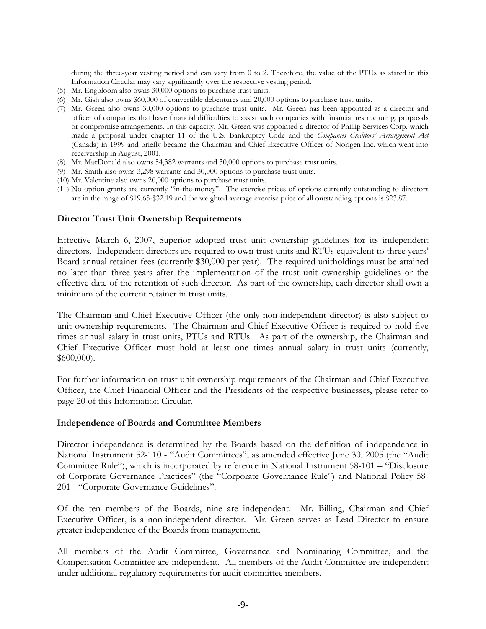during the three-year vesting period and can vary from 0 to 2. Therefore, the value of the PTUs as stated in this Information Circular may vary significantly over the respective vesting period.

- (5) Mr. Engbloom also owns 30,000 options to purchase trust units.
- (6) Mr. Gish also owns \$60,000 of convertible debentures and 20,000 options to purchase trust units.
- (7) Mr. Green also owns 30,000 options to purchase trust units. Mr. Green has been appointed as a director and officer of companies that have financial difficulties to assist such companies with financial restructuring, proposals or compromise arrangements. In this capacity, Mr. Green was appointed a director of Phillip Services Corp. which made a proposal under chapter 11 of the U.S. Bankruptcy Code and the *Companies Creditors' Arrangement Act* (Canada) in 1999 and briefly became the Chairman and Chief Executive Officer of Norigen Inc. which went into receivership in August, 2001.
- (8) Mr. MacDonald also owns 54,382 warrants and 30,000 options to purchase trust units.
- (9) Mr. Smith also owns 3,298 warrants and 30,000 options to purchase trust units.
- (10) Mr. Valentine also owns 20,000 options to purchase trust units.
- (11) No option grants are currently "in-the-money". The exercise prices of options currently outstanding to directors are in the range of \$19.65-\$32.19 and the weighted average exercise price of all outstanding options is \$23.87.

#### **Director Trust Unit Ownership Requirements**

Effective March 6, 2007, Superior adopted trust unit ownership guidelines for its independent directors. Independent directors are required to own trust units and RTUs equivalent to three years' Board annual retainer fees (currently \$30,000 per year). The required unitholdings must be attained no later than three years after the implementation of the trust unit ownership guidelines or the effective date of the retention of such director. As part of the ownership, each director shall own a minimum of the current retainer in trust units.

The Chairman and Chief Executive Officer (the only non-independent director) is also subject to unit ownership requirements. The Chairman and Chief Executive Officer is required to hold five times annual salary in trust units, PTUs and RTUs. As part of the ownership, the Chairman and Chief Executive Officer must hold at least one times annual salary in trust units (currently, \$600,000).

For further information on trust unit ownership requirements of the Chairman and Chief Executive Officer, the Chief Financial Officer and the Presidents of the respective businesses, please refer to page 20 of this Information Circular.

#### **Independence of Boards and Committee Members**

Director independence is determined by the Boards based on the definition of independence in National Instrument 52-110 - "Audit Committees", as amended effective June 30, 2005 (the "Audit Committee Rule"), which is incorporated by reference in National Instrument 58-101 – "Disclosure of Corporate Governance Practices" (the "Corporate Governance Rule") and National Policy 58- 201 - "Corporate Governance Guidelines".

Of the ten members of the Boards, nine are independent. Mr. Billing, Chairman and Chief Executive Officer, is a non-independent director. Mr. Green serves as Lead Director to ensure greater independence of the Boards from management.

All members of the Audit Committee, Governance and Nominating Committee, and the Compensation Committee are independent. All members of the Audit Committee are independent under additional regulatory requirements for audit committee members.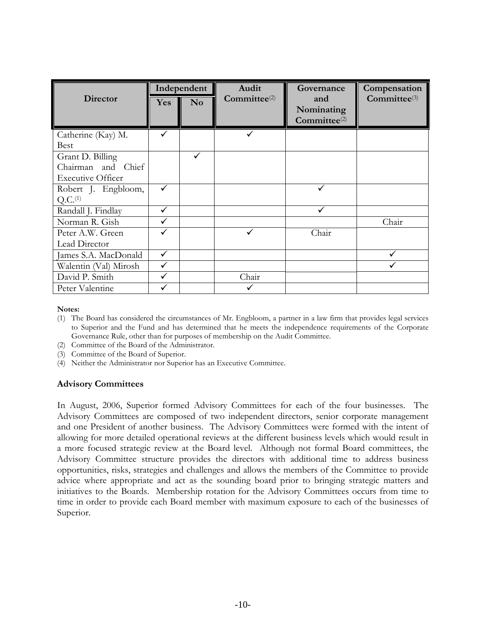|                          |            | Independent | Audit             | Governance                                    | Compensation             |
|--------------------------|------------|-------------|-------------------|-----------------------------------------------|--------------------------|
| Director                 | <b>Yes</b> | No          | $Committee^{(2)}$ | and<br>Nominating<br>Committee <sup>(2)</sup> | Committee <sup>(3)</sup> |
| Catherine (Kay) M.       | ✓          |             |                   |                                               |                          |
| <b>Best</b>              |            |             |                   |                                               |                          |
| Grant D. Billing         |            | ✓           |                   |                                               |                          |
| Chairman and Chief       |            |             |                   |                                               |                          |
| <b>Executive Officer</b> |            |             |                   |                                               |                          |
| Robert J. Engbloom,      | ✓          |             |                   |                                               |                          |
| Q.C. <sup>(1)</sup>      |            |             |                   |                                               |                          |
| Randall J. Findlay       |            |             |                   |                                               |                          |
| Norman R. Gish           |            |             |                   |                                               | Chair                    |
| Peter A.W. Green         |            |             |                   | Chair                                         |                          |
| Lead Director            |            |             |                   |                                               |                          |
| James S.A. MacDonald     | ✓          |             |                   |                                               |                          |
| Walentin (Val) Mirosh    | ✓          |             |                   |                                               |                          |
| David P. Smith           |            |             | Chair             |                                               |                          |
| Peter Valentine          |            |             |                   |                                               |                          |

- (1) The Board has considered the circumstances of Mr. Engbloom, a partner in a law firm that provides legal services to Superior and the Fund and has determined that he meets the independence requirements of the Corporate Governance Rule, other than for purposes of membership on the Audit Committee.
- (2) Committee of the Board of the Administrator.
- (3) Committee of the Board of Superior.
- (4) Neither the Administrator nor Superior has an Executive Committee.

#### **Advisory Committees**

In August, 2006, Superior formed Advisory Committees for each of the four businesses. The Advisory Committees are composed of two independent directors, senior corporate management and one President of another business. The Advisory Committees were formed with the intent of allowing for more detailed operational reviews at the different business levels which would result in a more focused strategic review at the Board level. Although not formal Board committees, the Advisory Committee structure provides the directors with additional time to address business opportunities, risks, strategies and challenges and allows the members of the Committee to provide advice where appropriate and act as the sounding board prior to bringing strategic matters and initiatives to the Boards. Membership rotation for the Advisory Committees occurs from time to time in order to provide each Board member with maximum exposure to each of the businesses of Superior.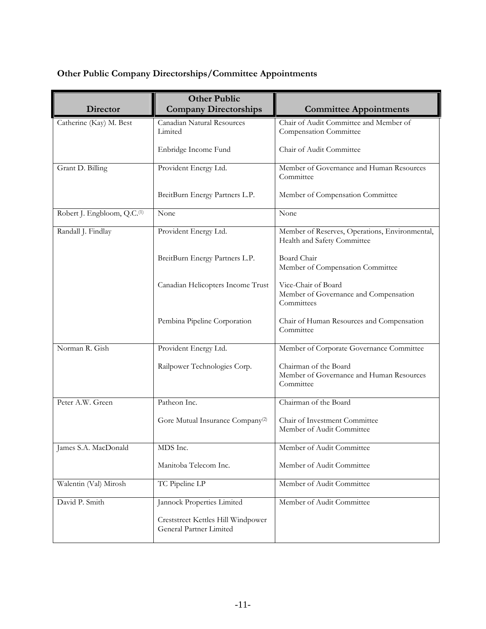# **Other Public Company Directorships/Committee Appointments**

| <b>Director</b>                         | <b>Other Public</b><br><b>Company Directorships</b>           | <b>Committee Appointments</b>                                                  |
|-----------------------------------------|---------------------------------------------------------------|--------------------------------------------------------------------------------|
| Catherine (Kay) M. Best                 | Canadian Natural Resources                                    | Chair of Audit Committee and Member of                                         |
|                                         | Limited                                                       | Compensation Committee                                                         |
|                                         | Enbridge Income Fund                                          | Chair of Audit Committee                                                       |
| Grant D. Billing                        | Provident Energy Ltd.                                         | Member of Governance and Human Resources<br>Committee                          |
|                                         | BreitBurn Energy Partners L.P.                                | Member of Compensation Committee                                               |
| Robert J. Engbloom, Q.C. <sup>(1)</sup> | None                                                          | None                                                                           |
| Randall J. Findlay                      | Provident Energy Ltd.                                         | Member of Reserves, Operations, Environmental,<br>Health and Safety Committee  |
|                                         | BreitBurn Energy Partners L.P.                                | Board Chair<br>Member of Compensation Committee                                |
|                                         | Canadian Helicopters Income Trust                             | Vice-Chair of Board<br>Member of Governance and Compensation<br>Committees     |
|                                         | Pembina Pipeline Corporation                                  | Chair of Human Resources and Compensation<br>Committee                         |
| Norman R. Gish                          | Provident Energy Ltd.                                         | Member of Corporate Governance Committee                                       |
|                                         | Railpower Technologies Corp.                                  | Chairman of the Board<br>Member of Governance and Human Resources<br>Committee |
| Peter A.W. Green                        | Patheon Inc.                                                  | Chairman of the Board                                                          |
|                                         | Gore Mutual Insurance Company <sup>(2)</sup>                  | Chair of Investment Committee<br>Member of Audit Committee                     |
| James S.A. MacDonald                    | MDS Inc.                                                      | Member of Audit Committee                                                      |
|                                         | Manitoba Telecom Inc.                                         | Member of Audit Committee                                                      |
| Walentin (Val) Mirosh                   | TC Pipeline LP                                                | Member of Audit Committee                                                      |
| David P. Smith                          | Jannock Properties Limited                                    | Member of Audit Committee                                                      |
|                                         | Creststreet Kettles Hill Windpower<br>General Partner Limited |                                                                                |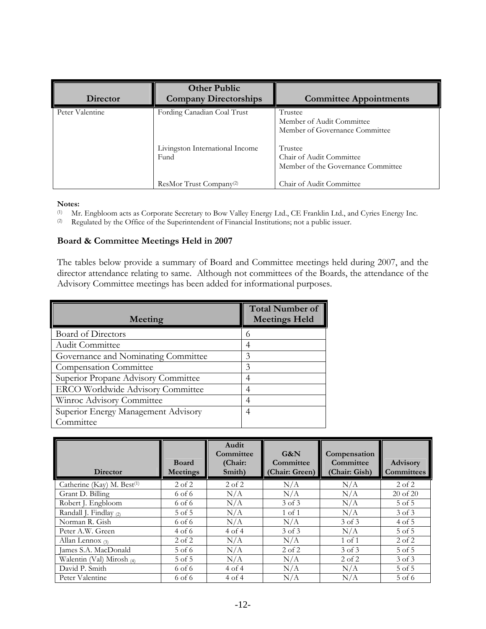| Director        | <b>Other Public</b><br><b>Company Directorships</b>                    | <b>Committee Appointments</b>                                                                                                                       |
|-----------------|------------------------------------------------------------------------|-----------------------------------------------------------------------------------------------------------------------------------------------------|
| Peter Valentine | Fording Canadian Coal Trust<br>Livingston International Income<br>Fund | Trustee<br>Member of Audit Committee<br>Member of Governance Committee<br>Trustee<br>Chair of Audit Committee<br>Member of the Governance Committee |
|                 | ResMor Trust Company <sup>(2)</sup>                                    | Chair of Audit Committee                                                                                                                            |

# Notes:<br>(1) Mr

(1) Mr. Engbloom acts as Corporate Secretary to Bow Valley Energy Ltd., CE Franklin Ltd., and Cyries Energy Inc.<br>(2) Regulated by the Office of the Superintendent of Financial Institutions; not a public issuer.

Regulated by the Office of the Superintendent of Financial Institutions; not a public issuer.

# **Board & Committee Meetings Held in 2007**

The tables below provide a summary of Board and Committee meetings held during 2007, and the director attendance relating to same. Although not committees of the Boards, the attendance of the Advisory Committee meetings has been added for informational purposes.

| Meeting                                  | <b>Total Number of</b><br><b>Meetings Held</b> |
|------------------------------------------|------------------------------------------------|
| <b>Board of Directors</b>                |                                                |
| <b>Audit Committee</b>                   |                                                |
| Governance and Nominating Committee      | 3                                              |
| <b>Compensation Committee</b>            | 3                                              |
| Superior Propane Advisory Committee      |                                                |
| <b>ERCO Worldwide Advisory Committee</b> |                                                |
| Winroc Advisory Committee                |                                                |
| Superior Energy Management Advisory      | 4                                              |
| Committee                                |                                                |

|                                        |                          | Audit<br>Committee | G&N                         | Compensation<br>Committee |                                      |
|----------------------------------------|--------------------------|--------------------|-----------------------------|---------------------------|--------------------------------------|
| <b>Director</b>                        | <b>Board</b><br>Meetings | (Chair:<br>Smith)  | Committee<br>(Chair: Green) | (Chair: Gish)             | <b>Advisory</b><br><b>Committees</b> |
| Catherine (Kay) M. Best <sup>(1)</sup> | $2$ of $2$               | $2$ of $2$         | N/A                         | N/A                       | $2$ of $2$                           |
| Grant D. Billing                       | 6 of 6                   | N/A                | N/A                         | N/A                       | $20$ of $20$                         |
| Robert J. Engbloom                     | 6 of 6                   | N/A                | 3 of 3                      | N/A                       | $5$ of $5$                           |
| Randall J. Findlay (2)                 | 5 of 5                   | N/A                | $1$ of $1$                  | N/A                       | 3 of 3                               |
| Norman R. Gish                         | 6 of 6                   | N/A                | N/A                         | 3 of 3                    | $4$ of 5                             |
| Peter A.W. Green                       | 4 of 6                   | 4 of 4             | 3 of 3                      | N/A                       | $5$ of $5$                           |
| Allan Lennox $(3)$                     | $2$ of $2$               | N/A                | N/A                         | $1$ of $1$                | $2$ of $2$                           |
| James S.A. MacDonald                   | $5$ of 6                 | N/A                | $2$ of $2$                  | 3 of 3                    | 5 of 5                               |
| Walentin (Val) Mirosh $(4)$            | 5 of 5                   | N/A                | N/A                         | $2$ of $2$                | $3$ of $3$                           |
| David P. Smith                         | 6 of 6                   | 4 of 4             | N/A                         | N/A                       | $5$ of $5$                           |
| Peter Valentine                        | 6 of 6                   | 4 of 4             | N/A                         | N/A                       | 5 of 6                               |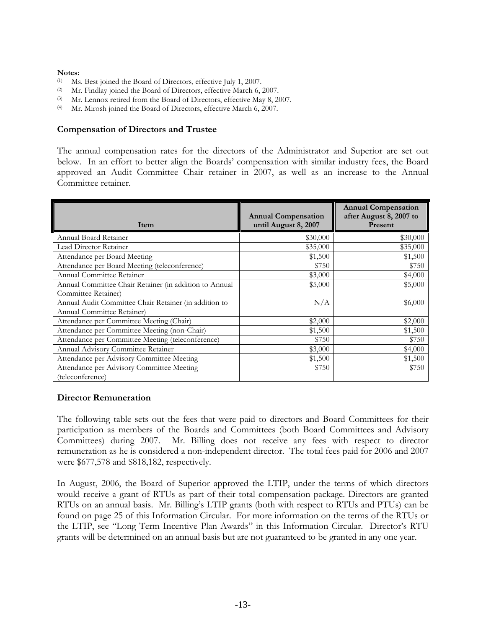- (1) Ms. Best joined the Board of Directors, effective July 1, 2007.
- (2) Mr. Findlay joined the Board of Directors, effective March 6, 2007.
- (3) Mr. Lennox retired from the Board of Directors, effective May 8, 2007.
- (4) Mr. Mirosh joined the Board of Directors, effective March 6, 2007.

### **Compensation of Directors and Trustee**

The annual compensation rates for the directors of the Administrator and Superior are set out below. In an effort to better align the Boards' compensation with similar industry fees, the Board approved an Audit Committee Chair retainer in 2007, as well as an increase to the Annual Committee retainer.

| Item                                                   | <b>Annual Compensation</b><br>until August 8, 2007 | <b>Annual Compensation</b><br>after August 8, 2007 to<br>Present |
|--------------------------------------------------------|----------------------------------------------------|------------------------------------------------------------------|
| Annual Board Retainer                                  | \$30,000                                           | \$30,000                                                         |
| Lead Director Retainer                                 | \$35,000                                           | \$35,000                                                         |
| Attendance per Board Meeting                           | \$1,500                                            | \$1,500                                                          |
| Attendance per Board Meeting (teleconference)          | \$750                                              | \$750                                                            |
| Annual Committee Retainer                              | \$3,000                                            | \$4,000                                                          |
| Annual Committee Chair Retainer (in addition to Annual | \$5,000                                            | \$5,000                                                          |
| Committee Retainer)                                    |                                                    |                                                                  |
| Annual Audit Committee Chair Retainer (in addition to  | N/A                                                | \$6,000                                                          |
| Annual Committee Retainer)                             |                                                    |                                                                  |
| Attendance per Committee Meeting (Chair)               | \$2,000                                            | \$2,000                                                          |
| Attendance per Committee Meeting (non-Chair)           | \$1,500                                            | \$1,500                                                          |
| Attendance per Committee Meeting (teleconference)      | \$750                                              | \$750                                                            |
| Annual Advisory Committee Retainer                     | \$3,000                                            | \$4,000                                                          |
| Attendance per Advisory Committee Meeting              | \$1,500                                            | \$1,500                                                          |
| Attendance per Advisory Committee Meeting              | \$750                                              | \$750                                                            |
| (teleconference)                                       |                                                    |                                                                  |

# **Director Remuneration**

The following table sets out the fees that were paid to directors and Board Committees for their participation as members of the Boards and Committees (both Board Committees and Advisory Committees) during 2007. Mr. Billing does not receive any fees with respect to director remuneration as he is considered a non-independent director. The total fees paid for 2006 and 2007 were \$677,578 and \$818,182, respectively.

In August, 2006, the Board of Superior approved the LTIP, under the terms of which directors would receive a grant of RTUs as part of their total compensation package. Directors are granted RTUs on an annual basis. Mr. Billing's LTIP grants (both with respect to RTUs and PTUs) can be found on page 25 of this Information Circular. For more information on the terms of the RTUs or the LTIP, see "Long Term Incentive Plan Awards" in this Information Circular. Director's RTU grants will be determined on an annual basis but are not guaranteed to be granted in any one year.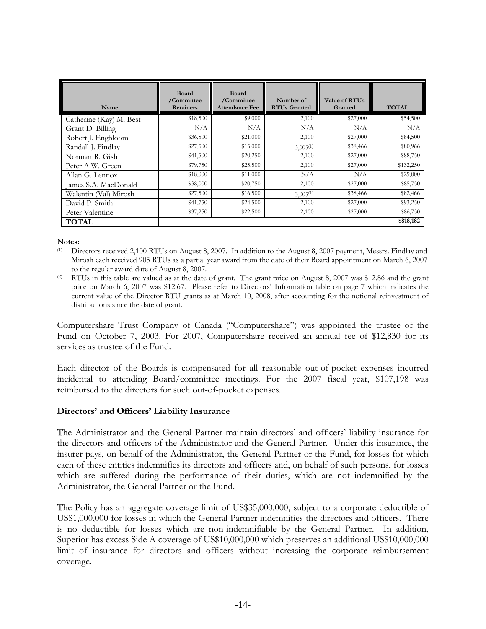| Name                    | <b>Board</b><br>/Committee<br><b>Retainers</b> | <b>Board</b><br>/Committee<br><b>Attendance Fee</b> | Number of<br><b>RTUs Granted</b> | Value of RTU <sub>s</sub><br>Granted | <b>TOTAL</b> |
|-------------------------|------------------------------------------------|-----------------------------------------------------|----------------------------------|--------------------------------------|--------------|
| Catherine (Kay) M. Best | \$18,500                                       | \$9,000                                             | 2,100                            | \$27,000                             | \$54,500     |
| Grant D. Billing        | N/A                                            | N/A                                                 | N/A                              | N/A                                  | N/A          |
| Robert J. Engbloom      | \$36,500                                       | \$21,000                                            | 2,100                            | \$27,000                             | \$84,500     |
| Randall J. Findlay      | \$27,500                                       | \$15,000                                            | $3,005^{(1)}$                    | \$38,466                             | \$80,966     |
| Norman R. Gish          | \$41,500                                       | \$20,250                                            | 2,100                            | \$27,000                             | \$88,750     |
| Peter A.W. Green        | \$79,750                                       | \$25,500                                            | 2,100                            | \$27,000                             | \$132,250    |
| Allan G. Lennox         | \$18,000                                       | \$11,000                                            | N/A                              | N/A                                  | \$29,000     |
| James S.A. MacDonald    | \$38,000                                       | \$20,750                                            | 2,100                            | \$27,000                             | \$85,750     |
| Walentin (Val) Mirosh   | \$27,500                                       | \$16,500                                            | $3,005^{(1)}$                    | \$38,466                             | \$82,466     |
| David P. Smith          | \$41,750                                       | \$24,500                                            | 2,100                            | \$27,000                             | \$93,250     |
| Peter Valentine         | \$37,250                                       | \$22,500                                            | 2,100                            | \$27,000                             | \$86,750     |
| <b>TOTAL</b>            |                                                |                                                     |                                  |                                      | \$818,182    |

(1) Directors received 2,100 RTUs on August 8, 2007. In addition to the August 8, 2007 payment, Messrs. Findlay and Mirosh each received 905 RTUs as a partial year award from the date of their Board appointment on March 6, 2007 to the regular award date of August 8, 2007.

(2) RTUs in this table are valued as at the date of grant. The grant price on August 8, 2007 was \$12.86 and the grant price on March 6, 2007 was \$12.67. Please refer to Directors' Information table on page 7 which indicates the current value of the Director RTU grants as at March 10, 2008, after accounting for the notional reinvestment of distributions since the date of grant.

Computershare Trust Company of Canada ("Computershare") was appointed the trustee of the Fund on October 7, 2003. For 2007, Computershare received an annual fee of \$12,830 for its services as trustee of the Fund.

Each director of the Boards is compensated for all reasonable out-of-pocket expenses incurred incidental to attending Board/committee meetings. For the 2007 fiscal year, \$107,198 was reimbursed to the directors for such out-of-pocket expenses.

# **Directors' and Officers' Liability Insurance**

The Administrator and the General Partner maintain directors' and officers' liability insurance for the directors and officers of the Administrator and the General Partner. Under this insurance, the insurer pays, on behalf of the Administrator, the General Partner or the Fund, for losses for which each of these entities indemnifies its directors and officers and, on behalf of such persons, for losses which are suffered during the performance of their duties, which are not indemnified by the Administrator, the General Partner or the Fund.

The Policy has an aggregate coverage limit of US\$35,000,000, subject to a corporate deductible of US\$1,000,000 for losses in which the General Partner indemnifies the directors and officers. There is no deductible for losses which are non-indemnifiable by the General Partner. In addition, Superior has excess Side A coverage of US\$10,000,000 which preserves an additional US\$10,000,000 limit of insurance for directors and officers without increasing the corporate reimbursement coverage.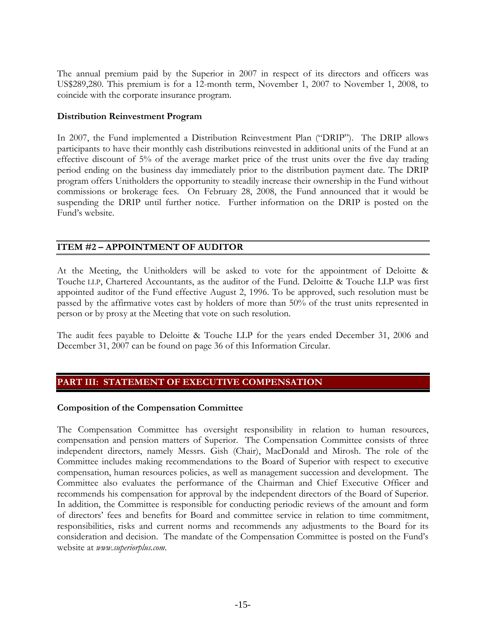The annual premium paid by the Superior in 2007 in respect of its directors and officers was US\$289,280. This premium is for a 12-month term, November 1, 2007 to November 1, 2008, to coincide with the corporate insurance program.

# **Distribution Reinvestment Program**

In 2007, the Fund implemented a Distribution Reinvestment Plan ("DRIP"). The DRIP allows participants to have their monthly cash distributions reinvested in additional units of the Fund at an effective discount of 5% of the average market price of the trust units over the five day trading period ending on the business day immediately prior to the distribution payment date. The DRIP program offers Unitholders the opportunity to steadily increase their ownership in the Fund without commissions or brokerage fees. On February 28, 2008, the Fund announced that it would be suspending the DRIP until further notice. Further information on the DRIP is posted on the Fund's website.

# **ITEM #2 – APPOINTMENT OF AUDITOR**

At the Meeting, the Unitholders will be asked to vote for the appointment of Deloitte & Touche LLP, Chartered Accountants, as the auditor of the Fund. Deloitte & Touche LLP was first appointed auditor of the Fund effective August 2, 1996. To be approved, such resolution must be passed by the affirmative votes cast by holders of more than 50% of the trust units represented in person or by proxy at the Meeting that vote on such resolution.

The audit fees payable to Deloitte & Touche LLP for the years ended December 31, 2006 and December 31, 2007 can be found on page 36 of this Information Circular.

# **PART III: STATEMENT OF EXECUTIVE COMPENSATION**

# **Composition of the Compensation Committee**

The Compensation Committee has oversight responsibility in relation to human resources, compensation and pension matters of Superior. The Compensation Committee consists of three independent directors, namely Messrs. Gish (Chair), MacDonald and Mirosh. The role of the Committee includes making recommendations to the Board of Superior with respect to executive compensation, human resources policies, as well as management succession and development. The Committee also evaluates the performance of the Chairman and Chief Executive Officer and recommends his compensation for approval by the independent directors of the Board of Superior. In addition, the Committee is responsible for conducting periodic reviews of the amount and form of directors' fees and benefits for Board and committee service in relation to time commitment, responsibilities, risks and current norms and recommends any adjustments to the Board for its consideration and decision. The mandate of the Compensation Committee is posted on the Fund's website at *www.superiorplus.com*.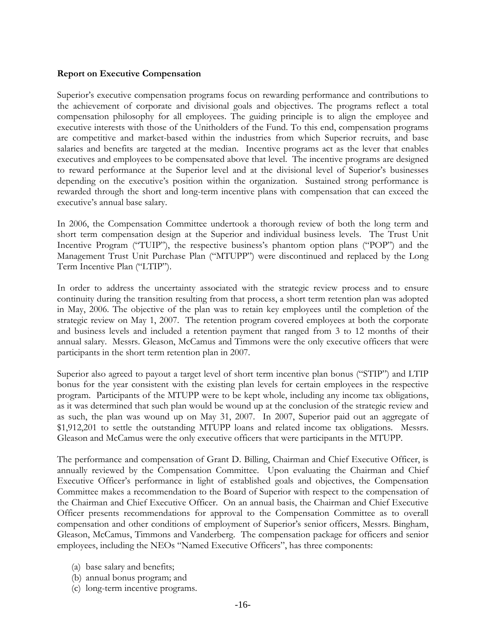# **Report on Executive Compensation**

Superior's executive compensation programs focus on rewarding performance and contributions to the achievement of corporate and divisional goals and objectives. The programs reflect a total compensation philosophy for all employees. The guiding principle is to align the employee and executive interests with those of the Unitholders of the Fund. To this end, compensation programs are competitive and market-based within the industries from which Superior recruits, and base salaries and benefits are targeted at the median. Incentive programs act as the lever that enables executives and employees to be compensated above that level. The incentive programs are designed to reward performance at the Superior level and at the divisional level of Superior's businesses depending on the executive's position within the organization. Sustained strong performance is rewarded through the short and long-term incentive plans with compensation that can exceed the executive's annual base salary.

In 2006, the Compensation Committee undertook a thorough review of both the long term and short term compensation design at the Superior and individual business levels. The Trust Unit Incentive Program ("TUIP"), the respective business's phantom option plans ("POP") and the Management Trust Unit Purchase Plan ("MTUPP") were discontinued and replaced by the Long Term Incentive Plan ("LTIP").

In order to address the uncertainty associated with the strategic review process and to ensure continuity during the transition resulting from that process, a short term retention plan was adopted in May, 2006. The objective of the plan was to retain key employees until the completion of the strategic review on May 1, 2007. The retention program covered employees at both the corporate and business levels and included a retention payment that ranged from 3 to 12 months of their annual salary. Messrs. Gleason, McCamus and Timmons were the only executive officers that were participants in the short term retention plan in 2007.

Superior also agreed to payout a target level of short term incentive plan bonus ("STIP") and LTIP bonus for the year consistent with the existing plan levels for certain employees in the respective program. Participants of the MTUPP were to be kept whole, including any income tax obligations, as it was determined that such plan would be wound up at the conclusion of the strategic review and as such, the plan was wound up on May 31, 2007. In 2007, Superior paid out an aggregate of \$1,912,201 to settle the outstanding MTUPP loans and related income tax obligations. Messrs. Gleason and McCamus were the only executive officers that were participants in the MTUPP.

The performance and compensation of Grant D. Billing, Chairman and Chief Executive Officer, is annually reviewed by the Compensation Committee. Upon evaluating the Chairman and Chief Executive Officer's performance in light of established goals and objectives, the Compensation Committee makes a recommendation to the Board of Superior with respect to the compensation of the Chairman and Chief Executive Officer. On an annual basis, the Chairman and Chief Executive Officer presents recommendations for approval to the Compensation Committee as to overall compensation and other conditions of employment of Superior's senior officers, Messrs. Bingham, Gleason, McCamus, Timmons and Vanderberg. The compensation package for officers and senior employees, including the NEOs "Named Executive Officers", has three components:

- (a) base salary and benefits;
- (b) annual bonus program; and
- (c) long-term incentive programs.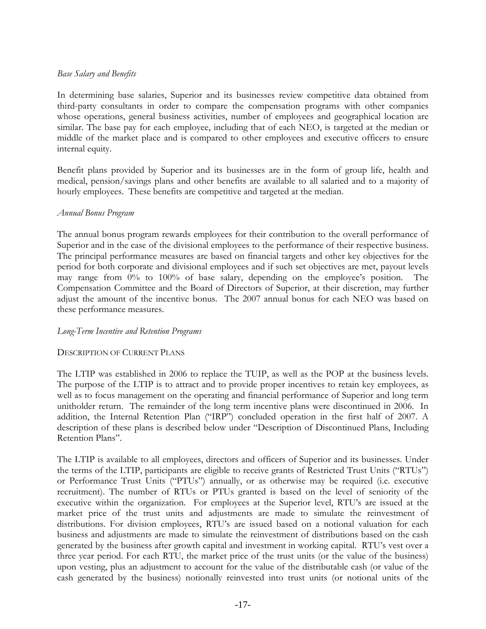# *Base Salary and Benefits*

In determining base salaries, Superior and its businesses review competitive data obtained from third-party consultants in order to compare the compensation programs with other companies whose operations, general business activities, number of employees and geographical location are similar. The base pay for each employee, including that of each NEO, is targeted at the median or middle of the market place and is compared to other employees and executive officers to ensure internal equity.

Benefit plans provided by Superior and its businesses are in the form of group life, health and medical, pension/savings plans and other benefits are available to all salaried and to a majority of hourly employees. These benefits are competitive and targeted at the median.

#### *Annual Bonus Program*

The annual bonus program rewards employees for their contribution to the overall performance of Superior and in the case of the divisional employees to the performance of their respective business. The principal performance measures are based on financial targets and other key objectives for the period for both corporate and divisional employees and if such set objectives are met, payout levels may range from 0% to 100% of base salary, depending on the employee's position. The Compensation Committee and the Board of Directors of Superior, at their discretion, may further adjust the amount of the incentive bonus. The 2007 annual bonus for each NEO was based on these performance measures.

#### *Long-Term Incentive and Retention Programs*

# DESCRIPTION OF CURRENT PLANS

The LTIP was established in 2006 to replace the TUIP, as well as the POP at the business levels. The purpose of the LTIP is to attract and to provide proper incentives to retain key employees, as well as to focus management on the operating and financial performance of Superior and long term unitholder return. The remainder of the long term incentive plans were discontinued in 2006. In addition, the Internal Retention Plan ("IRP") concluded operation in the first half of 2007. A description of these plans is described below under "Description of Discontinued Plans, Including Retention Plans".

The LTIP is available to all employees, directors and officers of Superior and its businesses. Under the terms of the LTIP, participants are eligible to receive grants of Restricted Trust Units ("RTUs") or Performance Trust Units ("PTUs") annually, or as otherwise may be required (i.e. executive recruitment). The number of RTUs or PTUs granted is based on the level of seniority of the executive within the organization. For employees at the Superior level, RTU's are issued at the market price of the trust units and adjustments are made to simulate the reinvestment of distributions. For division employees, RTU's are issued based on a notional valuation for each business and adjustments are made to simulate the reinvestment of distributions based on the cash generated by the business after growth capital and investment in working capital. RTU's vest over a three year period. For each RTU, the market price of the trust units (or the value of the business) upon vesting, plus an adjustment to account for the value of the distributable cash (or value of the cash generated by the business) notionally reinvested into trust units (or notional units of the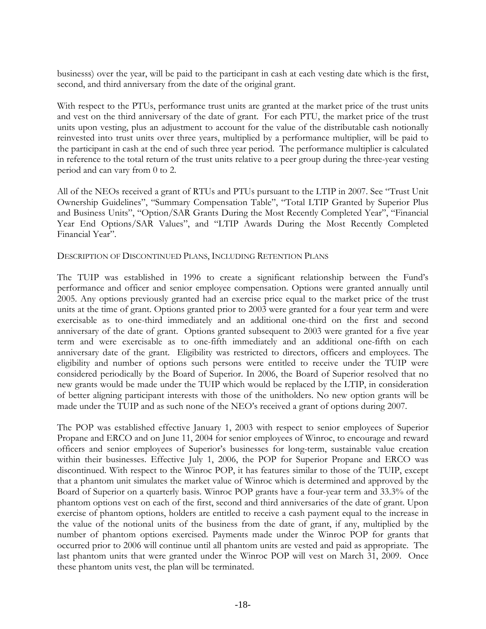businesss) over the year, will be paid to the participant in cash at each vesting date which is the first, second, and third anniversary from the date of the original grant.

With respect to the PTUs, performance trust units are granted at the market price of the trust units and vest on the third anniversary of the date of grant. For each PTU, the market price of the trust units upon vesting, plus an adjustment to account for the value of the distributable cash notionally reinvested into trust units over three years, multiplied by a performance multiplier, will be paid to the participant in cash at the end of such three year period. The performance multiplier is calculated in reference to the total return of the trust units relative to a peer group during the three-year vesting period and can vary from 0 to 2.

All of the NEOs received a grant of RTUs and PTUs pursuant to the LTIP in 2007. See "Trust Unit Ownership Guidelines", "Summary Compensation Table", "Total LTIP Granted by Superior Plus and Business Units", "Option/SAR Grants During the Most Recently Completed Year", "Financial Year End Options/SAR Values", and "LTIP Awards During the Most Recently Completed Financial Year".

# DESCRIPTION OF DISCONTINUED PLANS, INCLUDING RETENTION PLANS

The TUIP was established in 1996 to create a significant relationship between the Fund's performance and officer and senior employee compensation. Options were granted annually until 2005. Any options previously granted had an exercise price equal to the market price of the trust units at the time of grant. Options granted prior to 2003 were granted for a four year term and were exercisable as to one-third immediately and an additional one-third on the first and second anniversary of the date of grant. Options granted subsequent to 2003 were granted for a five year term and were exercisable as to one-fifth immediately and an additional one-fifth on each anniversary date of the grant. Eligibility was restricted to directors, officers and employees. The eligibility and number of options such persons were entitled to receive under the TUIP were considered periodically by the Board of Superior. In 2006, the Board of Superior resolved that no new grants would be made under the TUIP which would be replaced by the LTIP, in consideration of better aligning participant interests with those of the unitholders. No new option grants will be made under the TUIP and as such none of the NEO's received a grant of options during 2007.

The POP was established effective January 1, 2003 with respect to senior employees of Superior Propane and ERCO and on June 11, 2004 for senior employees of Winroc, to encourage and reward officers and senior employees of Superior's businesses for long-term, sustainable value creation within their businesses. Effective July 1, 2006, the POP for Superior Propane and ERCO was discontinued. With respect to the Winroc POP, it has features similar to those of the TUIP, except that a phantom unit simulates the market value of Winroc which is determined and approved by the Board of Superior on a quarterly basis. Winroc POP grants have a four-year term and 33.3% of the phantom options vest on each of the first, second and third anniversaries of the date of grant. Upon exercise of phantom options, holders are entitled to receive a cash payment equal to the increase in the value of the notional units of the business from the date of grant, if any, multiplied by the number of phantom options exercised. Payments made under the Winroc POP for grants that occurred prior to 2006 will continue until all phantom units are vested and paid as appropriate. The last phantom units that were granted under the Winroc POP will vest on March 31, 2009. Once these phantom units vest, the plan will be terminated.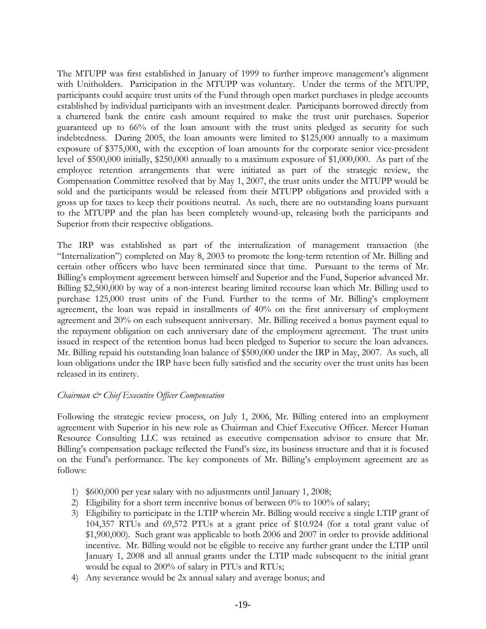The MTUPP was first established in January of 1999 to further improve management's alignment with Unitholders. Participation in the MTUPP was voluntary. Under the terms of the MTUPP, participants could acquire trust units of the Fund through open market purchases in pledge accounts established by individual participants with an investment dealer. Participants borrowed directly from a chartered bank the entire cash amount required to make the trust unit purchases. Superior guaranteed up to 66% of the loan amount with the trust units pledged as security for such indebtedness. During 2005, the loan amounts were limited to \$125,000 annually to a maximum exposure of \$375,000, with the exception of loan amounts for the corporate senior vice-president level of \$500,000 initially, \$250,000 annually to a maximum exposure of \$1,000,000. As part of the employee retention arrangements that were initiated as part of the strategic review, the Compensation Committee resolved that by May 1, 2007, the trust units under the MTUPP would be sold and the participants would be released from their MTUPP obligations and provided with a gross up for taxes to keep their positions neutral. As such, there are no outstanding loans pursuant to the MTUPP and the plan has been completely wound-up, releasing both the participants and Superior from their respective obligations.

The IRP was established as part of the internalization of management transaction (the "Internalization") completed on May 8, 2003 to promote the long-term retention of Mr. Billing and certain other officers who have been terminated since that time. Pursuant to the terms of Mr. Billing's employment agreement between himself and Superior and the Fund, Superior advanced Mr. Billing \$2,500,000 by way of a non-interest bearing limited recourse loan which Mr. Billing used to purchase 125,000 trust units of the Fund. Further to the terms of Mr. Billing's employment agreement, the loan was repaid in installments of 40% on the first anniversary of employment agreement and 20% on each subsequent anniversary. Mr. Billing received a bonus payment equal to the repayment obligation on each anniversary date of the employment agreement. The trust units issued in respect of the retention bonus had been pledged to Superior to secure the loan advances. Mr. Billing repaid his outstanding loan balance of \$500,000 under the IRP in May, 2007. As such, all loan obligations under the IRP have been fully satisfied and the security over the trust units has been released in its entirety.

# *Chairman & Chief Executive Officer Compensation*

Following the strategic review process, on July 1, 2006, Mr. Billing entered into an employment agreement with Superior in his new role as Chairman and Chief Executive Officer. Mercer Human Resource Consulting LLC was retained as executive compensation advisor to ensure that Mr. Billing's compensation package reflected the Fund's size, its business structure and that it is focused on the Fund's performance. The key components of Mr. Billing's employment agreement are as follows:

- 1) \$600,000 per year salary with no adjustments until January 1, 2008;
- 2) Eligibility for a short term incentive bonus of between 0% to 100% of salary;
- 3) Eligibility to participate in the LTIP wherein Mr. Billing would receive a single LTIP grant of 104,357 RTUs and 69,572 PTUs at a grant price of \$10.924 (for a total grant value of \$1,900,000). Such grant was applicable to both 2006 and 2007 in order to provide additional incentive. Mr. Billing would not be eligible to receive any further grant under the LTIP until January 1, 2008 and all annual grants under the LTIP made subsequent to the initial grant would be equal to 200% of salary in PTUs and RTUs;
- 4) Any severance would be 2x annual salary and average bonus; and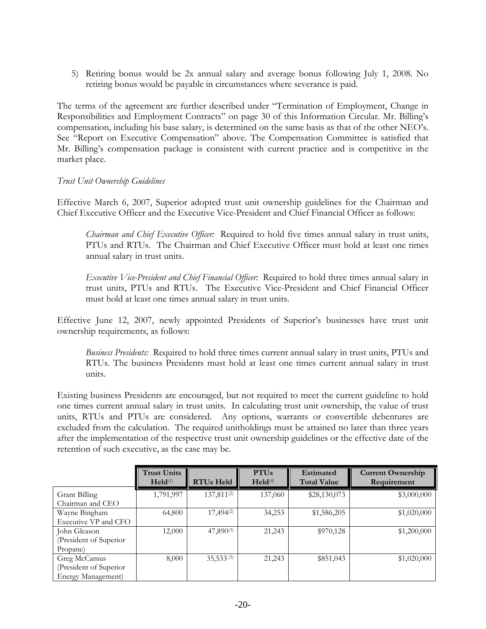5) Retiring bonus would be 2x annual salary and average bonus following July 1, 2008. No retiring bonus would be payable in circumstances where severance is paid.

The terms of the agreement are further described under "Termination of Employment, Change in Responsibilities and Employment Contracts" on page 30 of this Information Circular. Mr. Billing's compensation, including his base salary, is determined on the same basis as that of the other NEO's. See "Report on Executive Compensation" above. The Compensation Committee is satisfied that Mr. Billing's compensation package is consistent with current practice and is competitive in the market place.

# *Trust Unit Ownership Guidelines*

Effective March 6, 2007, Superior adopted trust unit ownership guidelines for the Chairman and Chief Executive Officer and the Executive Vice-President and Chief Financial Officer as follows:

*Chairman and Chief Executive Officer:* Required to hold five times annual salary in trust units, PTUs and RTUs. The Chairman and Chief Executive Officer must hold at least one times annual salary in trust units.

*Executive Vice-President and Chief Financial Officer:* Required to hold three times annual salary in trust units, PTUs and RTUs. The Executive Vice-President and Chief Financial Officer must hold at least one times annual salary in trust units.

Effective June 12, 2007, newly appointed Presidents of Superior's businesses have trust unit ownership requirements, as follows:

*Business Presidents:* Required to hold three times current annual salary in trust units, PTUs and RTUs. The business Presidents must hold at least one times current annual salary in trust units.

Existing business Presidents are encouraged, but not required to meet the current guideline to hold one times current annual salary in trust units. In calculating trust unit ownership, the value of trust units, RTUs and PTUs are considered. Any options, warrants or convertible debentures are excluded from the calculation. The required unitholdings must be attained no later than three years after the implementation of the respective trust unit ownership guidelines or the effective date of the retention of such executive, as the case may be.

|                        | <b>Trust Units</b><br>$\text{Held}^{(1)}$ | <b>RTUs Held</b>       | <b>PTUs</b><br>$\text{Held}^{(4)}$ | <b>Estimated</b><br><b>Total Value</b> | <b>Current Ownership</b><br>Requirement |
|------------------------|-------------------------------------------|------------------------|------------------------------------|----------------------------------------|-----------------------------------------|
| Grant Billing          | 1,791,997                                 | 137,811 <sup>(2)</sup> | 137,060                            | \$28,130,073                           | \$3,000,000                             |
| Chairman and CEO       |                                           |                        |                                    |                                        |                                         |
| Wayne Bingham          | 64,800                                    | $17,494^{(2)}$         | 34,253                             | \$1,586,205                            | \$1,020,000                             |
| Executive VP and CFO   |                                           |                        |                                    |                                        |                                         |
| John Gleason           | 12,000                                    | $47,890^{(3)}$         | 21,243                             | \$970,128                              | \$1,200,000                             |
| (President of Superior |                                           |                        |                                    |                                        |                                         |
| Propane)               |                                           |                        |                                    |                                        |                                         |
| Greg McCamus           | 8,000                                     | $35,533^{(3)}$         | 21,243                             | \$851,043                              | \$1,020,000                             |
| (President of Superior |                                           |                        |                                    |                                        |                                         |
| Energy Management)     |                                           |                        |                                    |                                        |                                         |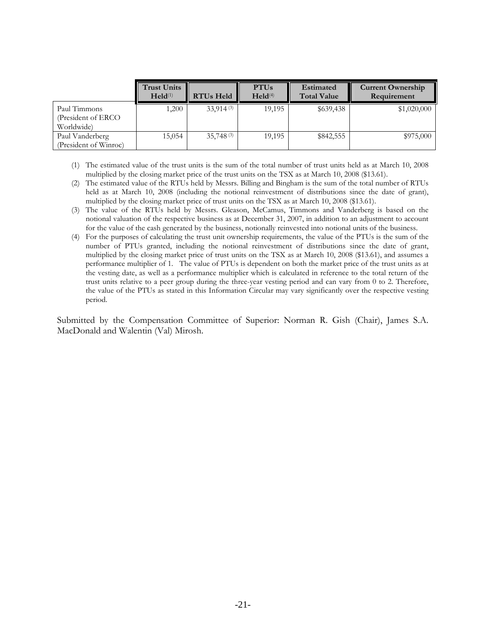|                                                   | <b>Trust Units</b><br>$\text{Held}^{(1)}$ | <b>RTUs Held</b> | <b>PTUs</b><br>$\text{Held}^{(4)}$ | <b>Estimated</b><br><b>Total Value</b> | <b>Current Ownership</b><br>Requirement |
|---------------------------------------------------|-------------------------------------------|------------------|------------------------------------|----------------------------------------|-----------------------------------------|
| Paul Timmons<br>(President of ERCO)<br>Worldwide) | ,200                                      | 33.914(3)        | 19.195                             | \$639,438                              | \$1,020,000                             |
| Paul Vanderberg<br>(President of Winroc)          | 15,054                                    | 35.748(3)        | 19.195                             | \$842,555                              | \$975,000                               |

- (1) The estimated value of the trust units is the sum of the total number of trust units held as at March 10, 2008 multiplied by the closing market price of the trust units on the TSX as at March 10, 2008 (\$13.61).
- (2) The estimated value of the RTUs held by Messrs. Billing and Bingham is the sum of the total number of RTUs held as at March 10, 2008 (including the notional reinvestment of distributions since the date of grant), multiplied by the closing market price of trust units on the TSX as at March 10, 2008 (\$13.61).
- (3) The value of the RTUs held by Messrs. Gleason, McCamus, Timmons and Vanderberg is based on the notional valuation of the respective business as at December 31, 2007, in addition to an adjustment to account for the value of the cash generated by the business, notionally reinvested into notional units of the business.
- (4) For the purposes of calculating the trust unit ownership requirements, the value of the PTUs is the sum of the number of PTUs granted, including the notional reinvestment of distributions since the date of grant, multiplied by the closing market price of trust units on the TSX as at March 10, 2008 (\$13.61), and assumes a performance multiplier of 1. The value of PTUs is dependent on both the market price of the trust units as at the vesting date, as well as a performance multiplier which is calculated in reference to the total return of the trust units relative to a peer group during the three-year vesting period and can vary from 0 to 2. Therefore, the value of the PTUs as stated in this Information Circular may vary significantly over the respective vesting period.

Submitted by the Compensation Committee of Superior: Norman R. Gish (Chair), James S.A. MacDonald and Walentin (Val) Mirosh.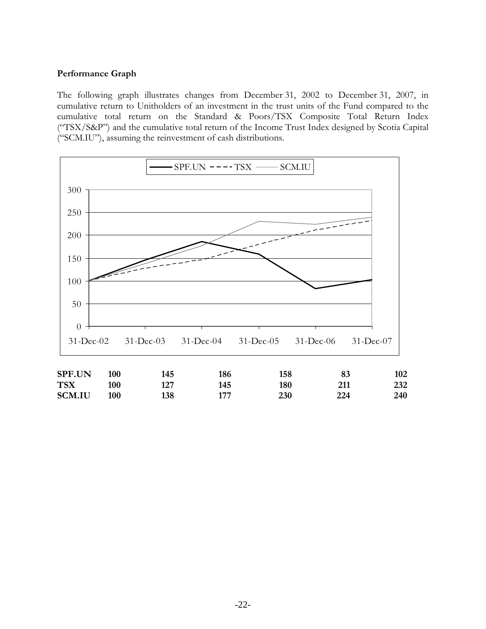# **Performance Graph**

The following graph illustrates changes from December 31, 2002 to December 31, 2007, in cumulative return to Unitholders of an investment in the trust units of the Fund compared to the cumulative total return on the Standard & Poors/TSX Composite Total Return Index ("TSX/S&P") and the cumulative total return of the Income Trust Index designed by Scotia Capital ("SCM.IU"), assuming the reinvestment of cash distributions.

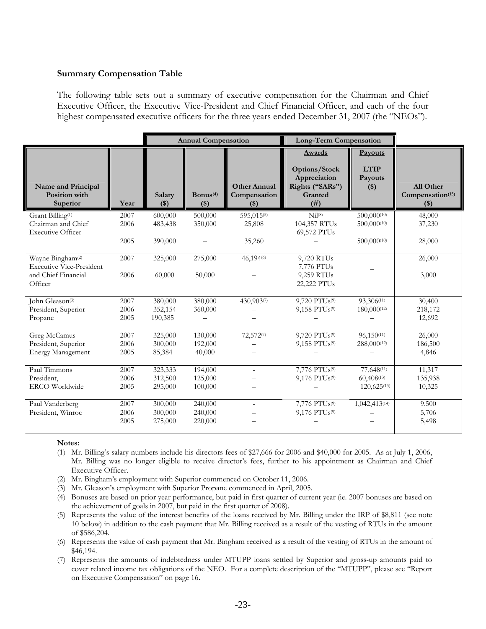#### **Summary Compensation Table**

The following table sets out a summary of executive compensation for the Chairman and Chief Executive Officer, the Executive Vice-President and Chief Financial Officer, and each of the four highest compensated executive officers for the three years ended December 31, 2007 (the "NEOs").

|                                                                 |      |                   | <b>Annual Compensation</b>    |                                                | <b>Long-Term Compensation</b>                                                 |                                                   |                                                    |
|-----------------------------------------------------------------|------|-------------------|-------------------------------|------------------------------------------------|-------------------------------------------------------------------------------|---------------------------------------------------|----------------------------------------------------|
| Name and Principal<br><b>Position</b> with<br>Superior          | Year | Salary<br>$($ \$) | Bonus <sup>(4)</sup><br>$($)$ | <b>Other Annual</b><br>Compensation<br>$($ \$) | Awards<br>Options/Stock<br>Appreciation<br>Rights ("SARs")<br>Granted<br>(# ) | <b>Payouts</b><br><b>LTIP</b><br>Payouts<br>$($)$ | All Other<br>Compensation <sup>(15)</sup><br>$($)$ |
| Grant Billing <sup>(1)</sup>                                    | 2007 | 600,000           | 500,000                       | 595,015(5)                                     | Nil <sup>(8)</sup>                                                            | 500,000(10)                                       | 48,000                                             |
| Chairman and Chief<br><b>Executive Officer</b>                  | 2006 | 483,438           | 350,000                       | 25,808                                         | 104,357 RTUs<br>69,572 PTUs                                                   | 500,000(10)                                       | 37,230                                             |
|                                                                 | 2005 | 390,000           |                               | 35,260                                         |                                                                               | 500,000(10)                                       | 28,000                                             |
| Wayne Bingham <sup>(2)</sup><br><b>Executive Vice-President</b> | 2007 | 325,000           | 275,000                       | 46,194%                                        | 9,720 RTUs<br>7,776 PTUs                                                      |                                                   | 26,000                                             |
| and Chief Financial<br>Officer                                  | 2006 | 60,000            | 50,000                        |                                                | 9,259 RTUs<br>22,222 PTUs                                                     |                                                   | 3,000                                              |
| John Gleason <sup>(3)</sup>                                     | 2007 | 380,000           | 380,000                       | 430,903(7)                                     | 9,720 PTUs <sup>(9)</sup>                                                     | 93,306(11)                                        | 30,400                                             |
| President, Superior                                             | 2006 | 352,154           | 360,000                       |                                                | 9,158 PTU <sub>s(9)</sub>                                                     | 180,000(12)                                       | 218,172                                            |
| Propane                                                         | 2005 | 190,385           |                               |                                                |                                                                               |                                                   | 12,692                                             |
| Greg McCamus                                                    | 2007 | 325,000           | 130,000                       | 72,5727                                        | 9,720 PTUs <sup>(9)</sup>                                                     | $96,150^{(11)}$                                   | 26,000                                             |
| President, Superior                                             | 2006 | 300,000           | 192,000                       |                                                | 9,158 PTUs <sup>(9)</sup>                                                     | 288,000(12)                                       | 186,500                                            |
| <b>Energy Management</b>                                        | 2005 | 85,384            | 40,000                        |                                                |                                                                               |                                                   | 4,846                                              |
| Paul Timmons                                                    | 2007 | 323,333           | 194,000                       | ÷.                                             | 7,776 PTUs <sup>(9)</sup>                                                     | 77,648(11)                                        | 11,317                                             |
| President,                                                      | 2006 | 312,500           | 125,000                       |                                                | 9,176 PTUs <sup>(9)</sup>                                                     | $60,408^{(13)}$                                   | 135,938                                            |
| <b>ERCO</b> Worldwide                                           | 2005 | 295,000           | 100,000                       |                                                |                                                                               | $120,625^{(13)}$                                  | 10,325                                             |
| Paul Vanderberg                                                 | 2007 | 300,000           | 240,000                       | ÷.                                             | 7,776 PTUs <sup>(9)</sup>                                                     | 1,042,413(14)                                     | 9,500                                              |
| President, Winroc                                               | 2006 | 300,000           | 240,000                       |                                                | 9,176 PTUs <sup>(9)</sup>                                                     |                                                   | 5,706                                              |
|                                                                 | 2005 | 275,000           | 220,000                       |                                                |                                                                               |                                                   | 5,498                                              |

#### **Notes:**

- (1) Mr. Billing's salary numbers include his directors fees of \$27,666 for 2006 and \$40,000 for 2005. As at July 1, 2006, Mr. Billing was no longer eligible to receive director's fees, further to his appointment as Chairman and Chief Executive Officer.
- (2) Mr. Bingham's employment with Superior commenced on October 11, 2006.
- (3) Mr. Gleason's employment with Superior Propane commenced in April, 2005.
- (4) Bonuses are based on prior year performance, but paid in first quarter of current year (ie. 2007 bonuses are based on the achievement of goals in 2007, but paid in the first quarter of 2008).
- (5) Represents the value of the interest benefits of the loans received by Mr. Billing under the IRP of \$8,811 (see note 10 below) in addition to the cash payment that Mr. Billing received as a result of the vesting of RTUs in the amount of \$586,204.
- (6) Represents the value of cash payment that Mr. Bingham received as a result of the vesting of RTUs in the amount of \$46,194.
- (7) Represents the amounts of indebtedness under MTUPP loans settled by Superior and gross-up amounts paid to cover related income tax obligations of the NEO. For a complete description of the "MTUPP", please see "Report on Executive Compensation" on page 16**.**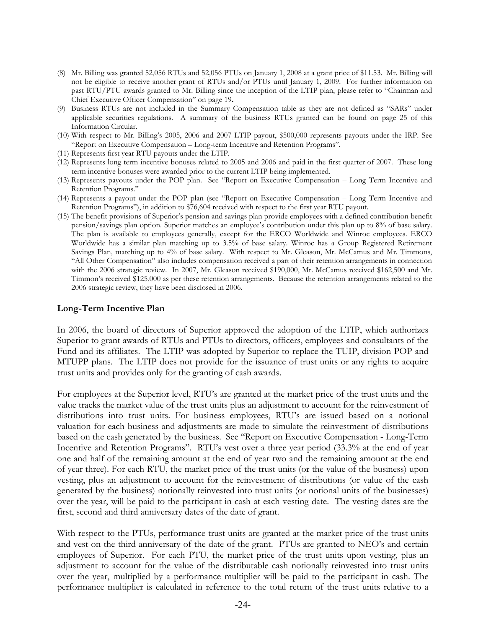- (8) Mr. Billing was granted 52,056 RTUs and 52,056 PTUs on January 1, 2008 at a grant price of \$11.53. Mr. Billing will not be eligible to receive another grant of RTUs and/or PTUs until January 1, 2009. For further information on past RTU/PTU awards granted to Mr. Billing since the inception of the LTIP plan, please refer to "Chairman and Chief Executive Officer Compensation" on page 19**.**
- (9) Business RTUs are not included in the Summary Compensation table as they are not defined as "SARs" under applicable securities regulations. A summary of the business RTUs granted can be found on page 25 of this Information Circular.
- (10) With respect to Mr. Billing's 2005, 2006 and 2007 LTIP payout, \$500,000 represents payouts under the IRP. See "Report on Executive Compensation – Long-term Incentive and Retention Programs".
- (11) Represents first year RTU payouts under the LTIP.
- (12) Represents long term incentive bonuses related to 2005 and 2006 and paid in the first quarter of 2007. These long term incentive bonuses were awarded prior to the current LTIP being implemented.
- (13) Represents payouts under the POP plan. See "Report on Executive Compensation Long Term Incentive and Retention Programs."
- (14) Represents a payout under the POP plan (see "Report on Executive Compensation Long Term Incentive and Retention Programs"), in addition to \$76,604 received with respect to the first year RTU payout.
- (15) The benefit provisions of Superior's pension and savings plan provide employees with a defined contribution benefit pension/savings plan option. Superior matches an employee's contribution under this plan up to 8% of base salary. The plan is available to employees generally, except for the ERCO Worldwide and Winroc employees. ERCO Worldwide has a similar plan matching up to 3.5% of base salary. Winroc has a Group Registered Retirement Savings Plan, matching up to 4% of base salary. With respect to Mr. Gleason, Mr. McCamus and Mr. Timmons, "All Other Compensation" also includes compensation received a part of their retention arrangements in connection with the 2006 strategic review. In 2007, Mr. Gleason received \$190,000, Mr. McCamus received \$162,500 and Mr. Timmon's received \$125,000 as per these retention arrangements. Because the retention arrangements related to the 2006 strategic review, they have been disclosed in 2006.

#### **Long-Term Incentive Plan**

In 2006, the board of directors of Superior approved the adoption of the LTIP, which authorizes Superior to grant awards of RTUs and PTUs to directors, officers, employees and consultants of the Fund and its affiliates. The LTIP was adopted by Superior to replace the TUIP, division POP and MTUPP plans. The LTIP does not provide for the issuance of trust units or any rights to acquire trust units and provides only for the granting of cash awards.

For employees at the Superior level, RTU's are granted at the market price of the trust units and the value tracks the market value of the trust units plus an adjustment to account for the reinvestment of distributions into trust units. For business employees, RTU's are issued based on a notional valuation for each business and adjustments are made to simulate the reinvestment of distributions based on the cash generated by the business. See "Report on Executive Compensation - Long-Term Incentive and Retention Programs". RTU's vest over a three year period (33.3% at the end of year one and half of the remaining amount at the end of year two and the remaining amount at the end of year three). For each RTU, the market price of the trust units (or the value of the business) upon vesting, plus an adjustment to account for the reinvestment of distributions (or value of the cash generated by the business) notionally reinvested into trust units (or notional units of the businesses) over the year, will be paid to the participant in cash at each vesting date. The vesting dates are the first, second and third anniversary dates of the date of grant.

With respect to the PTUs, performance trust units are granted at the market price of the trust units and vest on the third anniversary of the date of the grant. PTUs are granted to NEO's and certain employees of Superior. For each PTU, the market price of the trust units upon vesting, plus an adjustment to account for the value of the distributable cash notionally reinvested into trust units over the year, multiplied by a performance multiplier will be paid to the participant in cash. The performance multiplier is calculated in reference to the total return of the trust units relative to a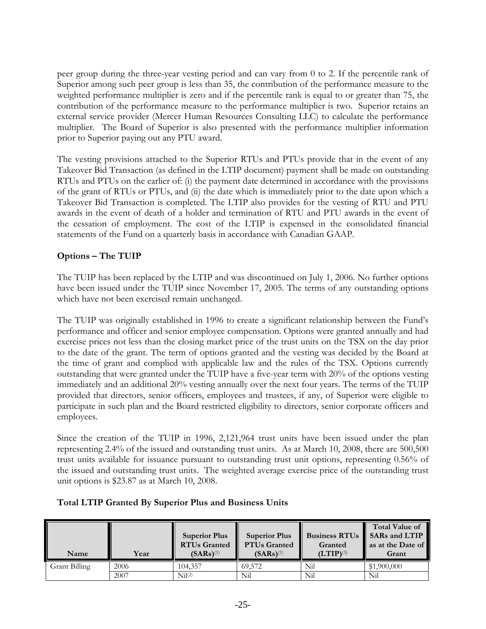peer group during the three-year vesting period and can vary from 0 to 2. If the percentile rank of Superior among such peer group is less than 35, the contribution of the performance measure to the weighted performance multiplier is zero and if the percentile rank is equal to or greater than 75, the contribution of the performance measure to the performance multiplier is two. Superior retains an external service provider (Mercer Human Resources Consulting LLC) to calculate the performance multiplier. The Board of Superior is also presented with the performance multiplier information prior to Superior paying out any PTU award.

The vesting provisions attached to the Superior RTUs and PTUs provide that in the event of any Takeover Bid Transaction (as defined in the LTIP document) payment shall be made on outstanding RTUs and PTUs on the earlier of: (i) the payment date determined in accordance with the provisions of the grant of RTUs or PTUs, and (ii) the date which is immediately prior to the date upon which a Takeover Bid Transaction is completed. The LTIP also provides for the vesting of RTU and PTU awards in the event of death of a holder and termination of RTU and PTU awards in the event of the cessation of employment. The cost of the LTIP is expensed in the consolidated financial statements of the Fund on a quarterly basis in accordance with Canadian GAAP.

# **Options – The TUIP**

The TUIP has been replaced by the LTIP and was discontinued on July 1, 2006. No further options have been issued under the TUIP since November 17, 2005. The terms of any outstanding options which have not been exercised remain unchanged.

The TUIP was originally established in 1996 to create a significant relationship between the Fund's performance and officer and senior employee compensation. Options were granted annually and had exercise prices not less than the closing market price of the trust units on the TSX on the day prior to the date of the grant. The term of options granted and the vesting was decided by the Board at the time of grant and complied with applicable law and the rules of the TSX. Options currently outstanding that were granted under the TUIP have a five-year term with 20% of the options vesting immediately and an additional 20% vesting annually over the next four years. The terms of the TUIP provided that directors, senior officers, employees and trustees, if any, of Superior were eligible to participate in such plan and the Board restricted eligibility to directors, senior corporate officers and employees.

Since the creation of the TUIP in 1996, 2,121,964 trust units have been issued under the plan representing 2.4% of the issued and outstanding trust units. As at March 10, 2008, there are 500,500 trust units available for issuance pursuant to outstanding trust unit options, representing 0.56% of the issued and outstanding trust units. The weighted average exercise price of the outstanding trust unit options is \$23.87 as at March 10, 2008.

| Name          | Year | <b>Superior Plus</b><br><b>RTUs Granted</b><br>$(SARs)^{(1)}$ | <b>Superior Plus</b><br><b>PTUs Granted</b><br>$(SARS)^{(1)}$ | <b>Business RTUs</b><br>Granted<br>$(LTIP)^{(3)}$ | <b>Total Value of</b><br>SARs and LTIP<br>as at the Date of<br>Grant |
|---------------|------|---------------------------------------------------------------|---------------------------------------------------------------|---------------------------------------------------|----------------------------------------------------------------------|
| Grant Billing | 2006 | 104.357                                                       | 69.572                                                        | Nil                                               | \$1,900,000                                                          |
|               | 2007 | Ni(2)                                                         | Nil                                                           | Nil                                               | Nil                                                                  |

# **Total LTIP Granted By Superior Plus and Business Units**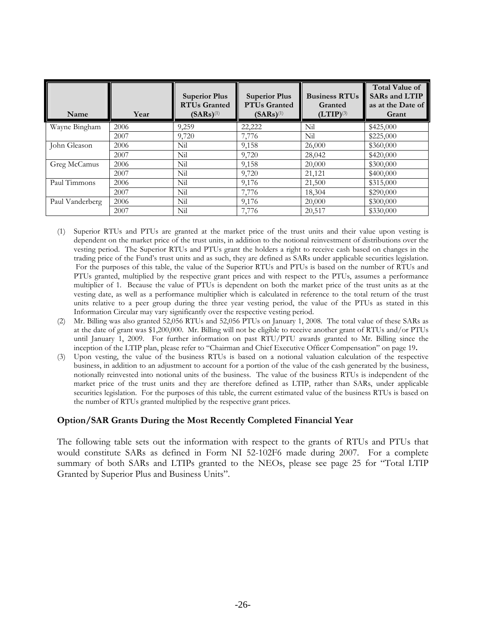| Name            | Year | <b>Superior Plus</b><br><b>RTUs Granted</b><br>$(SARS)^{(1)}$ | <b>Superior Plus</b><br><b>PTUs Granted</b><br>$(SARS)^{(1)}$ | <b>Business RTUs</b><br>Granted<br>$(LTIP)^{(3)}$ | <b>Total Value of</b><br><b>SARs and LTIP</b><br>as at the Date of<br>Grant |
|-----------------|------|---------------------------------------------------------------|---------------------------------------------------------------|---------------------------------------------------|-----------------------------------------------------------------------------|
| Wayne Bingham   | 2006 | 9,259                                                         | 22,222                                                        | Nil                                               | \$425,000                                                                   |
|                 | 2007 | 9,720                                                         | 7,776                                                         | Nil                                               | \$225,000                                                                   |
| John Gleason    | 2006 | Nil                                                           | 9,158                                                         | 26,000                                            | \$360,000                                                                   |
|                 | 2007 | Nil                                                           | 9,720                                                         | 28,042                                            | \$420,000                                                                   |
| Greg McCamus    | 2006 | Nil                                                           | 9,158                                                         | 20,000                                            | \$300,000                                                                   |
|                 | 2007 | Nil                                                           | 9,720                                                         | 21,121                                            | \$400,000                                                                   |
| Paul Timmons    | 2006 | Nil                                                           | 9,176                                                         | 21,500                                            | \$315,000                                                                   |
|                 | 2007 | Nil                                                           | 7,776                                                         | 18,304                                            | \$290,000                                                                   |
| Paul Vanderberg | 2006 | Nil                                                           | 9,176                                                         | 20,000                                            | \$300,000                                                                   |
|                 | 2007 | Nil                                                           | 7,776                                                         | 20,517                                            | \$330,000                                                                   |

- (1) Superior RTUs and PTUs are granted at the market price of the trust units and their value upon vesting is dependent on the market price of the trust units, in addition to the notional reinvestment of distributions over the vesting period. The Superior RTUs and PTUs grant the holders a right to receive cash based on changes in the trading price of the Fund's trust units and as such, they are defined as SARs under applicable securities legislation. For the purposes of this table, the value of the Superior RTUs and PTUs is based on the number of RTUs and PTUs granted, multiplied by the respective grant prices and with respect to the PTUs, assumes a performance multiplier of 1. Because the value of PTUs is dependent on both the market price of the trust units as at the vesting date, as well as a performance multiplier which is calculated in reference to the total return of the trust units relative to a peer group during the three year vesting period, the value of the PTUs as stated in this Information Circular may vary significantly over the respective vesting period.
- (2) Mr. Billing was also granted 52,056 RTUs and 52,056 PTUs on January 1, 2008. The total value of these SARs as at the date of grant was \$1,200,000. Mr. Billing will not be eligible to receive another grant of RTUs and/or PTUs until January 1, 2009. For further information on past RTU/PTU awards granted to Mr. Billing since the inception of the LTIP plan, please refer to "Chairman and Chief Executive Officer Compensation" on page 19**.**
- (3) Upon vesting, the value of the business RTUs is based on a notional valuation calculation of the respective business, in addition to an adjustment to account for a portion of the value of the cash generated by the business, notionally reinvested into notional units of the business. The value of the business RTUs is independent of the market price of the trust units and they are therefore defined as LTIP, rather than SARs, under applicable securities legislation. For the purposes of this table, the current estimated value of the business RTUs is based on the number of RTUs granted multiplied by the respective grant prices.

# **Option/SAR Grants During the Most Recently Completed Financial Year**

The following table sets out the information with respect to the grants of RTUs and PTUs that would constitute SARs as defined in Form NI 52-102F6 made during 2007. For a complete summary of both SARs and LTIPs granted to the NEOs, please see page 25 for "Total LTIP Granted by Superior Plus and Business Units".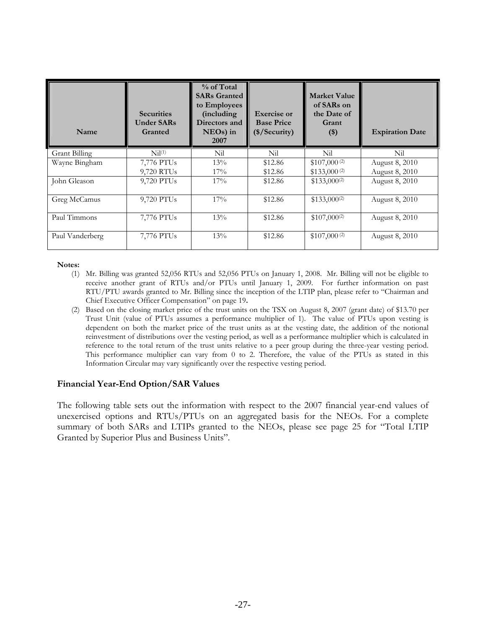| Name                 | <b>Securities</b><br><b>Under SARs</b><br>Granted | $%$ of Total<br><b>SARs Granted</b><br>to Employees<br>(including)<br>Directors and<br>$NEOs$ ) in<br>2007 | <b>Exercise or</b><br><b>Base Price</b><br>(\$/Security) | <b>Market Value</b><br>of SARs on<br>the Date of<br>Grant<br>$($)$ | <b>Expiration Date</b> |
|----------------------|---------------------------------------------------|------------------------------------------------------------------------------------------------------------|----------------------------------------------------------|--------------------------------------------------------------------|------------------------|
| <b>Grant Billing</b> | Ni <sup>(1)</sup>                                 | Nil                                                                                                        | Nil                                                      | Nil                                                                | Nil                    |
| Wayne Bingham        | 7,776 PTUs                                        | 13%                                                                                                        | \$12.86                                                  | \$107,000 $(2)$                                                    | August 8, 2010         |
|                      | 9,720 RTUs                                        | $17\%$                                                                                                     | \$12.86                                                  | $$133,000^{(2)}$                                                   | August 8, 2010         |
| John Gleason         | 9,720 PTUs                                        | 17%                                                                                                        | \$12.86                                                  | $$133,000^{(2)}$                                                   | August 8, 2010         |
| Greg McCamus         | 9,720 PTUs                                        | 17%                                                                                                        | \$12.86                                                  | $$133,000^{(2)}$                                                   | August 8, 2010         |
| Paul Timmons         | 7,776 PTUs                                        | 13%                                                                                                        | \$12.86                                                  | $$107,000^{(2)}$                                                   | August 8, 2010         |
| Paul Vanderberg      | 7,776 PTUs                                        | 13%                                                                                                        | \$12.86                                                  | $$107,000^{(2)}$                                                   | August 8, 2010         |

- (1) Mr. Billing was granted 52,056 RTUs and 52,056 PTUs on January 1, 2008. Mr. Billing will not be eligible to receive another grant of RTUs and/or PTUs until January 1, 2009. For further information on past RTU/PTU awards granted to Mr. Billing since the inception of the LTIP plan, please refer to "Chairman and Chief Executive Officer Compensation" on page 19**.**
- (2) Based on the closing market price of the trust units on the TSX on August 8, 2007 (grant date) of \$13.70 per Trust Unit (value of PTUs assumes a performance multiplier of 1). The value of PTUs upon vesting is dependent on both the market price of the trust units as at the vesting date, the addition of the notional reinvestment of distributions over the vesting period, as well as a performance multiplier which is calculated in reference to the total return of the trust units relative to a peer group during the three-year vesting period. This performance multiplier can vary from 0 to 2. Therefore, the value of the PTUs as stated in this Information Circular may vary significantly over the respective vesting period.

#### **Financial Year-End Option/SAR Values**

The following table sets out the information with respect to the 2007 financial year-end values of unexercised options and RTUs/PTUs on an aggregated basis for the NEOs. For a complete summary of both SARs and LTIPs granted to the NEOs, please see page 25 for "Total LTIP Granted by Superior Plus and Business Units".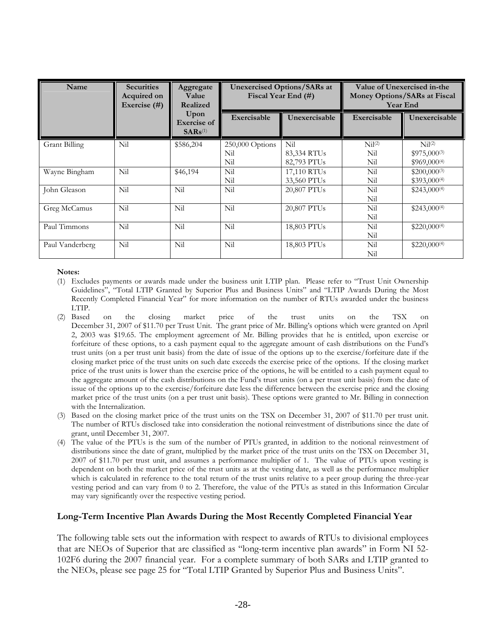| Name                 | <b>Securities</b><br>Acquired on<br>Exercise $(#)$ | Aggregate<br>Value<br>Realized                      | <b>Unexercised Options/SARs at</b><br>Fiscal Year End (#) |                         | Value of Unexercised in-the<br>Money Options/SARs at Fiscal<br><b>Year End</b> |                    |
|----------------------|----------------------------------------------------|-----------------------------------------------------|-----------------------------------------------------------|-------------------------|--------------------------------------------------------------------------------|--------------------|
|                      |                                                    | Upon<br><b>Exercise</b> of<br>$SARS$ <sup>(1)</sup> | Exercisable                                               | Unexercisable           | Exercisable                                                                    | Unexercisable      |
| <b>Grant Billing</b> | Nil                                                | \$586,204                                           | 250,000 Options                                           | Nil                     | Nil <sup>(2)</sup>                                                             | Nil <sup>(2)</sup> |
|                      |                                                    |                                                     | Nil                                                       | 83,334 RTUs             | Nil                                                                            | $$975,000^{(3)}$   |
|                      |                                                    |                                                     | Nil                                                       | 82,793 PTUs             | Nil                                                                            | $$969,000^{(4)}$   |
| Wayne Bingham        | Nil                                                | \$46,194                                            | Nil                                                       | 17,110 RTU <sub>s</sub> | Nil                                                                            | $$200,000^{(3)}$   |
|                      |                                                    |                                                     | Nil                                                       | 33,560 PTUs             | Nil                                                                            | $$393,000^{(4)}$   |
| John Gleason         | Nil                                                | Nil                                                 | Nil                                                       | 20,807 PTUs             | Nil                                                                            | $$243,000^{(4)}$   |
|                      |                                                    |                                                     |                                                           |                         | Nil                                                                            |                    |
| Greg McCamus         | Nil                                                | Nil                                                 | Nil                                                       | 20,807 PTUs             | Nil                                                                            | $$243,000^{(4)}$   |
|                      |                                                    |                                                     |                                                           |                         | Nil                                                                            |                    |
| Paul Timmons         | Nil                                                | Nil                                                 | Nil                                                       | 18,803 PTUs             | Nil                                                                            | $$220,000^{(4)}$   |
|                      |                                                    |                                                     |                                                           |                         | Nil                                                                            |                    |
| Paul Vanderberg      | Nil                                                | Nil                                                 | Nil                                                       | 18,803 PTUs             | Nil                                                                            | $$220,000^{(4)}$   |
|                      |                                                    |                                                     |                                                           |                         | Nil                                                                            |                    |

- (1) Excludes payments or awards made under the business unit LTIP plan. Please refer to "Trust Unit Ownership Guidelines", "Total LTIP Granted by Superior Plus and Business Units" and "LTIP Awards During the Most Recently Completed Financial Year" for more information on the number of RTUs awarded under the business
- LTIP.<br>(2) Based (2) Based on the closing market price of the trust units on the TSX on December 31, 2007 of \$11.70 per Trust Unit. The grant price of Mr. Billing's options which were granted on April 2, 2003 was \$19.65. The employment agreement of Mr. Billing provides that he is entitled, upon exercise or forfeiture of these options, to a cash payment equal to the aggregate amount of cash distributions on the Fund's trust units (on a per trust unit basis) from the date of issue of the options up to the exercise/forfeiture date if the closing market price of the trust units on such date exceeds the exercise price of the options. If the closing market price of the trust units is lower than the exercise price of the options, he will be entitled to a cash payment equal to the aggregate amount of the cash distributions on the Fund's trust units (on a per trust unit basis) from the date of issue of the options up to the exercise/forfeiture date less the difference between the exercise price and the closing market price of the trust units (on a per trust unit basis). These options were granted to Mr. Billing in connection with the Internalization.
- (3) Based on the closing market price of the trust units on the TSX on December 31, 2007 of \$11.70 per trust unit. The number of RTUs disclosed take into consideration the notional reinvestment of distributions since the date of grant, until December 31, 2007.
- (4) The value of the PTUs is the sum of the number of PTUs granted, in addition to the notional reinvestment of distributions since the date of grant, multiplied by the market price of the trust units on the TSX on December 31, 2007 of \$11.70 per trust unit, and assumes a performance multiplier of 1. The value of PTUs upon vesting is dependent on both the market price of the trust units as at the vesting date, as well as the performance multiplier which is calculated in reference to the total return of the trust units relative to a peer group during the three-year vesting period and can vary from 0 to 2. Therefore, the value of the PTUs as stated in this Information Circular may vary significantly over the respective vesting period.

# **Long-Term Incentive Plan Awards During the Most Recently Completed Financial Year**

The following table sets out the information with respect to awards of RTUs to divisional employees that are NEOs of Superior that are classified as "long-term incentive plan awards" in Form NI 52- 102F6 during the 2007 financial year. For a complete summary of both SARs and LTIP granted to the NEOs, please see page 25 for "Total LTIP Granted by Superior Plus and Business Units".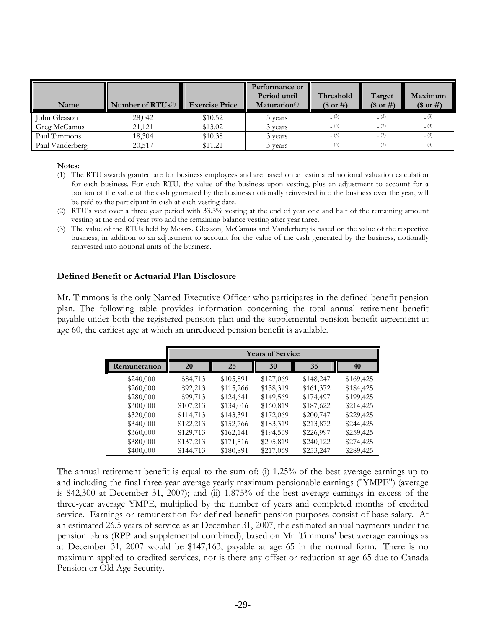| Name            | Number of RTU <sub>s</sub> <sup>(1)</sup> | <b>Exercise Price</b> | Performance or<br>Period until<br>Maturation <sup>(2)</sup> | Threshold<br>(\$ or #) | Target<br>(\$ or #) | Maximum<br>(\$ or #) |
|-----------------|-------------------------------------------|-----------------------|-------------------------------------------------------------|------------------------|---------------------|----------------------|
| John Gleason    | 28,042                                    | \$10.52               | 3 years                                                     | (3)                    | (3)                 |                      |
| Greg McCamus    | 21,121                                    | \$13.02               | 3 years                                                     | (3)                    | (3)                 | (3)                  |
| Paul Timmons    | 18,304                                    | \$10.38               | 3 years                                                     | (3)                    | (3)                 | (3)                  |
| Paul Vanderberg | 20.517                                    | \$11.21               | 3 vears                                                     | (3)                    | (3)                 | (3)                  |

- (1) The RTU awards granted are for business employees and are based on an estimated notional valuation calculation for each business. For each RTU, the value of the business upon vesting, plus an adjustment to account for a portion of the value of the cash generated by the business notionally reinvested into the business over the year, will be paid to the participant in cash at each vesting date.
- (2) RTU's vest over a three year period with 33.3% vesting at the end of year one and half of the remaining amount vesting at the end of year two and the remaining balance vesting after year three.
- (3) The value of the RTUs held by Messrs. Gleason, McCamus and Vanderberg is based on the value of the respective business, in addition to an adjustment to account for the value of the cash generated by the business, notionally reinvested into notional units of the business.

#### **Defined Benefit or Actuarial Plan Disclosure**

Mr. Timmons is the only Named Executive Officer who participates in the defined benefit pension plan. The following table provides information concerning the total annual retirement benefit payable under both the registered pension plan and the supplemental pension benefit agreement at age 60, the earliest age at which an unreduced pension benefit is available.

|              |           |           | <b>Years of Service</b> |           |           |
|--------------|-----------|-----------|-------------------------|-----------|-----------|
| Remuneration | 20        | 25        | 30                      | 35        | 40        |
| \$240,000    | \$84,713  | \$105,891 | \$127,069               | \$148,247 | \$169,425 |
| \$260,000    | \$92,213  | \$115,266 | \$138,319               | \$161,372 | \$184,425 |
| \$280,000    | \$99,713  | \$124,641 | \$149,569               | \$174,497 | \$199,425 |
| \$300,000    | \$107,213 | \$134,016 | \$160,819               | \$187,622 | \$214,425 |
| \$320,000    | \$114,713 | \$143,391 | \$172,069               | \$200,747 | \$229,425 |
| \$340,000    | \$122,213 | \$152,766 | \$183,319               | \$213,872 | \$244,425 |
| \$360,000    | \$129,713 | \$162,141 | \$194,569               | \$226,997 | \$259,425 |
| \$380,000    | \$137,213 | \$171,516 | \$205,819               | \$240,122 | \$274,425 |
| \$400,000    | \$144,713 | \$180,891 | \$217,069               | \$253,247 | \$289,425 |

The annual retirement benefit is equal to the sum of: (i) 1.25% of the best average earnings up to and including the final three-year average yearly maximum pensionable earnings ("YMPE") (average is \$42,300 at December 31, 2007); and (ii) 1.875% of the best average earnings in excess of the three-year average YMPE, multiplied by the number of years and completed months of credited service. Earnings or remuneration for defined benefit pension purposes consist of base salary. At an estimated 26.5 years of service as at December 31, 2007, the estimated annual payments under the pension plans (RPP and supplemental combined), based on Mr. Timmons' best average earnings as at December 31, 2007 would be \$147,163, payable at age 65 in the normal form. There is no maximum applied to credited services, nor is there any offset or reduction at age 65 due to Canada Pension or Old Age Security.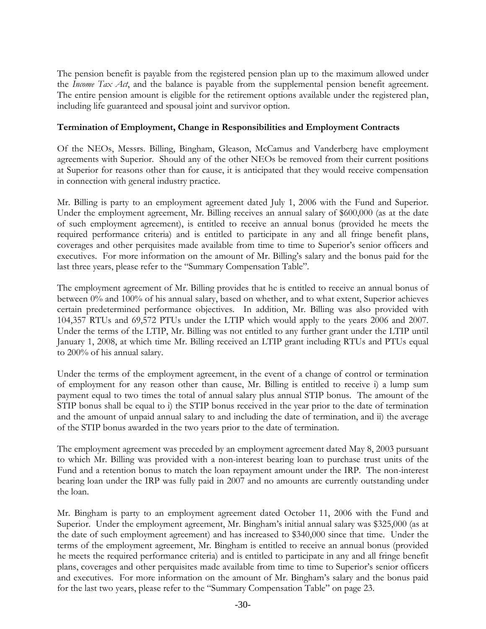The pension benefit is payable from the registered pension plan up to the maximum allowed under the *Income Tax Act*, and the balance is payable from the supplemental pension benefit agreement. The entire pension amount is eligible for the retirement options available under the registered plan, including life guaranteed and spousal joint and survivor option.

# **Termination of Employment, Change in Responsibilities and Employment Contracts**

Of the NEOs, Messrs. Billing, Bingham, Gleason, McCamus and Vanderberg have employment agreements with Superior. Should any of the other NEOs be removed from their current positions at Superior for reasons other than for cause, it is anticipated that they would receive compensation in connection with general industry practice.

Mr. Billing is party to an employment agreement dated July 1, 2006 with the Fund and Superior. Under the employment agreement, Mr. Billing receives an annual salary of \$600,000 (as at the date of such employment agreement), is entitled to receive an annual bonus (provided he meets the required performance criteria) and is entitled to participate in any and all fringe benefit plans, coverages and other perquisites made available from time to time to Superior's senior officers and executives. For more information on the amount of Mr. Billing's salary and the bonus paid for the last three years, please refer to the "Summary Compensation Table".

The employment agreement of Mr. Billing provides that he is entitled to receive an annual bonus of between 0% and 100% of his annual salary, based on whether, and to what extent, Superior achieves certain predetermined performance objectives. In addition, Mr. Billing was also provided with 104,357 RTUs and 69,572 PTUs under the LTIP which would apply to the years 2006 and 2007. Under the terms of the LTIP, Mr. Billing was not entitled to any further grant under the LTIP until January 1, 2008, at which time Mr. Billing received an LTIP grant including RTUs and PTUs equal to 200% of his annual salary.

Under the terms of the employment agreement, in the event of a change of control or termination of employment for any reason other than cause, Mr. Billing is entitled to receive i) a lump sum payment equal to two times the total of annual salary plus annual STIP bonus. The amount of the STIP bonus shall be equal to i) the STIP bonus received in the year prior to the date of termination and the amount of unpaid annual salary to and including the date of termination, and ii) the average of the STIP bonus awarded in the two years prior to the date of termination.

The employment agreement was preceded by an employment agreement dated May 8, 2003 pursuant to which Mr. Billing was provided with a non-interest bearing loan to purchase trust units of the Fund and a retention bonus to match the loan repayment amount under the IRP. The non-interest bearing loan under the IRP was fully paid in 2007 and no amounts are currently outstanding under the loan.

Mr. Bingham is party to an employment agreement dated October 11, 2006 with the Fund and Superior. Under the employment agreement, Mr. Bingham's initial annual salary was \$325,000 (as at the date of such employment agreement) and has increased to \$340,000 since that time. Under the terms of the employment agreement, Mr. Bingham is entitled to receive an annual bonus (provided he meets the required performance criteria) and is entitled to participate in any and all fringe benefit plans, coverages and other perquisites made available from time to time to Superior's senior officers and executives. For more information on the amount of Mr. Bingham's salary and the bonus paid for the last two years, please refer to the "Summary Compensation Table" on page 23.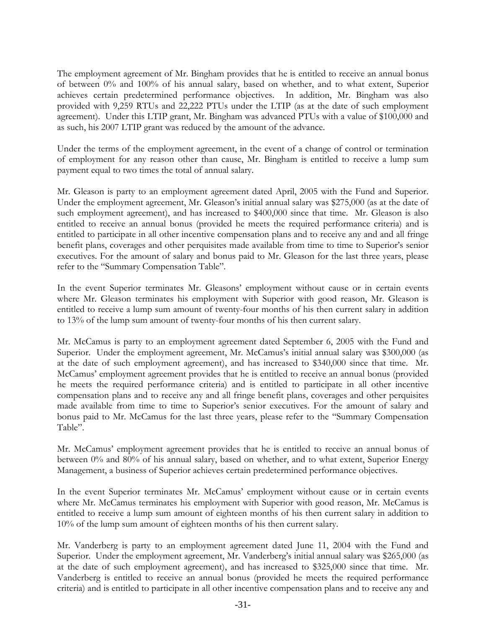The employment agreement of Mr. Bingham provides that he is entitled to receive an annual bonus of between 0% and 100% of his annual salary, based on whether, and to what extent, Superior achieves certain predetermined performance objectives. In addition, Mr. Bingham was also provided with 9,259 RTUs and 22,222 PTUs under the LTIP (as at the date of such employment agreement). Under this LTIP grant, Mr. Bingham was advanced PTUs with a value of \$100,000 and as such, his 2007 LTIP grant was reduced by the amount of the advance.

Under the terms of the employment agreement, in the event of a change of control or termination of employment for any reason other than cause, Mr. Bingham is entitled to receive a lump sum payment equal to two times the total of annual salary.

Mr. Gleason is party to an employment agreement dated April, 2005 with the Fund and Superior. Under the employment agreement, Mr. Gleason's initial annual salary was \$275,000 (as at the date of such employment agreement), and has increased to \$400,000 since that time. Mr. Gleason is also entitled to receive an annual bonus (provided he meets the required performance criteria) and is entitled to participate in all other incentive compensation plans and to receive any and and all fringe benefit plans, coverages and other perquisites made available from time to time to Superior's senior executives. For the amount of salary and bonus paid to Mr. Gleason for the last three years, please refer to the "Summary Compensation Table".

In the event Superior terminates Mr. Gleasons' employment without cause or in certain events where Mr. Gleason terminates his employment with Superior with good reason, Mr. Gleason is entitled to receive a lump sum amount of twenty-four months of his then current salary in addition to 13% of the lump sum amount of twenty-four months of his then current salary.

Mr. McCamus is party to an employment agreement dated September 6, 2005 with the Fund and Superior. Under the employment agreement, Mr. McCamus's initial annual salary was \$300,000 (as at the date of such employment agreement), and has increased to \$340,000 since that time. Mr. McCamus' employment agreement provides that he is entitled to receive an annual bonus (provided he meets the required performance criteria) and is entitled to participate in all other incentive compensation plans and to receive any and all fringe benefit plans, coverages and other perquisites made available from time to time to Superior's senior executives. For the amount of salary and bonus paid to Mr. McCamus for the last three years, please refer to the "Summary Compensation Table".

Mr. McCamus' employment agreement provides that he is entitled to receive an annual bonus of between 0% and 80% of his annual salary, based on whether, and to what extent, Superior Energy Management, a business of Superior achieves certain predetermined performance objectives.

In the event Superior terminates Mr. McCamus' employment without cause or in certain events where Mr. McCamus terminates his employment with Superior with good reason, Mr. McCamus is entitled to receive a lump sum amount of eighteen months of his then current salary in addition to 10% of the lump sum amount of eighteen months of his then current salary.

Mr. Vanderberg is party to an employment agreement dated June 11, 2004 with the Fund and Superior. Under the employment agreement, Mr. Vanderberg's initial annual salary was \$265,000 (as at the date of such employment agreement), and has increased to \$325,000 since that time. Mr. Vanderberg is entitled to receive an annual bonus (provided he meets the required performance criteria) and is entitled to participate in all other incentive compensation plans and to receive any and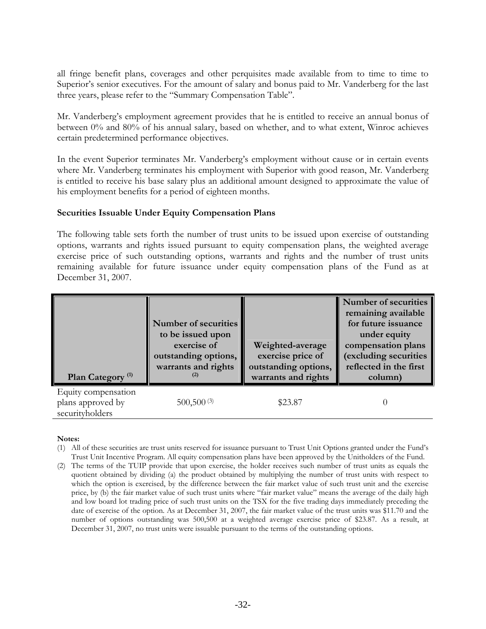all fringe benefit plans, coverages and other perquisites made available from to time to time to Superior's senior executives. For the amount of salary and bonus paid to Mr. Vanderberg for the last three years, please refer to the "Summary Compensation Table".

Mr. Vanderberg's employment agreement provides that he is entitled to receive an annual bonus of between 0% and 80% of his annual salary, based on whether, and to what extent, Winroc achieves certain predetermined performance objectives.

In the event Superior terminates Mr. Vanderberg's employment without cause or in certain events where Mr. Vanderberg terminates his employment with Superior with good reason, Mr. Vanderberg is entitled to receive his base salary plus an additional amount designed to approximate the value of his employment benefits for a period of eighteen months.

# **Securities Issuable Under Equity Compensation Plans**

The following table sets forth the number of trust units to be issued upon exercise of outstanding options, warrants and rights issued pursuant to equity compensation plans, the weighted average exercise price of such outstanding options, warrants and rights and the number of trust units remaining available for future issuance under equity compensation plans of the Fund as at December 31, 2007.

| Plan Category <sup>(1)</sup>                                | Number of securities<br>to be issued upon<br>exercise of<br>outstanding options,<br>warrants and rights | Weighted-average<br>exercise price of<br>outstanding options,<br>warrants and rights | Number of securities<br>remaining available<br>for future issuance<br>under equity<br>compensation plans<br>(excluding securities<br>reflected in the first<br>column) |
|-------------------------------------------------------------|---------------------------------------------------------------------------------------------------------|--------------------------------------------------------------------------------------|------------------------------------------------------------------------------------------------------------------------------------------------------------------------|
| Equity compensation<br>plans approved by<br>securityholders | $500,500\,$ <sup>(3)</sup>                                                                              | \$23.87                                                                              |                                                                                                                                                                        |

#### **Notes:**

- (1) All of these securities are trust units reserved for issuance pursuant to Trust Unit Options granted under the Fund's Trust Unit Incentive Program. All equity compensation plans have been approved by the Unitholders of the Fund.
- (2) The terms of the TUIP provide that upon exercise, the holder receives such number of trust units as equals the quotient obtained by dividing (a) the product obtained by multiplying the number of trust units with respect to which the option is exercised, by the difference between the fair market value of such trust unit and the exercise price, by (b) the fair market value of such trust units where "fair market value" means the average of the daily high and low board lot trading price of such trust units on the TSX for the five trading days immediately preceding the date of exercise of the option. As at December 31, 2007, the fair market value of the trust units was \$11.70 and the number of options outstanding was 500,500 at a weighted average exercise price of \$23.87. As a result, at December 31, 2007, no trust units were issuable pursuant to the terms of the outstanding options.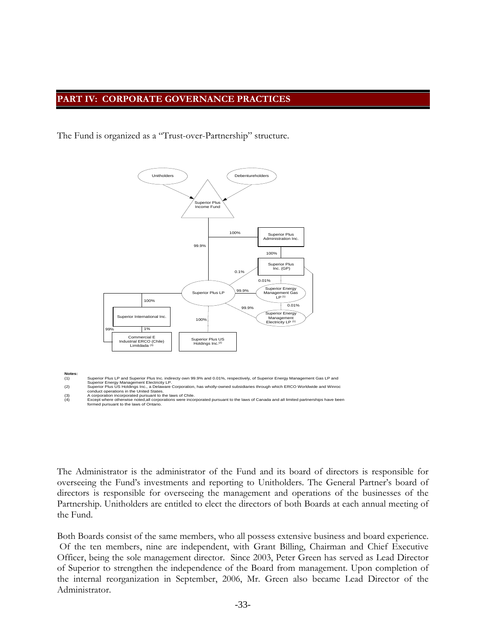### **PART IV: CORPORATE GOVERNANCE PRACTICES**

The Fund is organized as a "Trust-over-Partnership" structure.



**Notes:**<br>(1)

The Administrator is the administrator of the Fund and its board of directors is responsible for overseeing the Fund's investments and reporting to Unitholders. The General Partner's board of directors is responsible for overseeing the management and operations of the businesses of the Partnership. Unitholders are entitled to elect the directors of both Boards at each annual meeting of the Fund.

Both Boards consist of the same members, who all possess extensive business and board experience. Of the ten members, nine are independent, with Grant Billing, Chairman and Chief Executive Officer, being the sole management director. Since 2003, Peter Green has served as Lead Director of Superior to strengthen the independence of the Board from management. Upon completion of the internal reorganization in September, 2006, Mr. Green also became Lead Director of the Administrator.

Superior Plus LP and Superior Plus Inc. indirectly own 99.9% and 0.01%, respectively, of Superior Energy Management Gas LP and<br>Superior Energy Management Electricity LP.<br>Superior Plus US Holdings Inc., a Delaware Corporati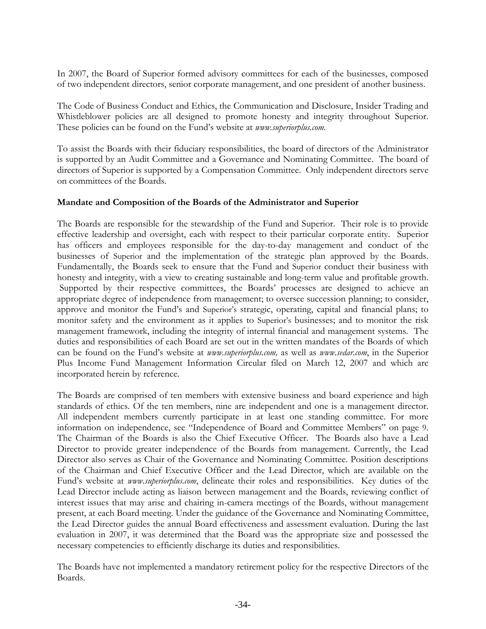In 2007, the Board of Superior formed advisory committees for each of the businesses, composed of two independent directors, senior corporate management, and one president of another business.

The Code of Business Conduct and Ethics, the Communication and Disclosure, Insider Trading and Whistleblower policies are all designed to promote honesty and integrity throughout Superior. These policies can be found on the Fund's website at *www.superiorplus.com*.

To assist the Boards with their fiduciary responsibilities, the board of directors of the Administrator is supported by an Audit Committee and a Governance and Nominating Committee. The board of directors of Superior is supported by a Compensation Committee. Only independent directors serve on committees of the Boards.

# **Mandate and Composition of the Boards of the Administrator and Superior**

The Boards are responsible for the stewardship of the Fund and Superior. Their role is to provide effective leadership and oversight, each with respect to their particular corporate entity. Superior has officers and employees responsible for the day-to-day management and conduct of the businesses of Superior and the implementation of the strategic plan approved by the Boards. Fundamentally, the Boards seek to ensure that the Fund and Superior conduct their business with honesty and integrity, with a view to creating sustainable and long-term value and profitable growth. Supported by their respective committees, the Boards' processes are designed to achieve an appropriate degree of independence from management; to oversee succession planning; to consider, approve and monitor the Fund's and Superior's strategic, operating, capital and financial plans; to monitor safety and the environment as it applies to Superior's businesses; and to monitor the risk management framework, including the integrity of internal financial and management systems. The duties and responsibilities of each Board are set out in the written mandates of the Boards of which can be found on the Fund's website at *www.superiorplus.com,* as well as *www.sedar.com*, in the Superior Plus Income Fund Management Information Circular filed on March 12, 2007 and which are incorporated herein by reference*.* 

The Boards are comprised of ten members with extensive business and board experience and high standards of ethics. Of the ten members, nine are independent and one is a management director. All independent members currently participate in at least one standing committee. For more information on independence, see "Independence of Board and Committee Members" on page 9. The Chairman of the Boards is also the Chief Executive Officer. The Boards also have a Lead Director to provide greater independence of the Boards from management. Currently, the Lead Director also serves as Chair of the Governance and Nominating Committee. Position descriptions of the Chairman and Chief Executive Officer and the Lead Director, which are available on the Fund's website at *www.superiorplus.com*, delineate their roles and responsibilities. Key duties of the Lead Director include acting as liaison between management and the Boards, reviewing conflict of interest issues that may arise and chairing in-camera meetings of the Boards, without management present, at each Board meeting. Under the guidance of the Governance and Nominating Committee, the Lead Director guides the annual Board effectiveness and assessment evaluation. During the last evaluation in 2007, it was determined that the Board was the appropriate size and possessed the necessary competencies to efficiently discharge its duties and responsibilities.

The Boards have not implemented a mandatory retirement policy for the respective Directors of the Boards.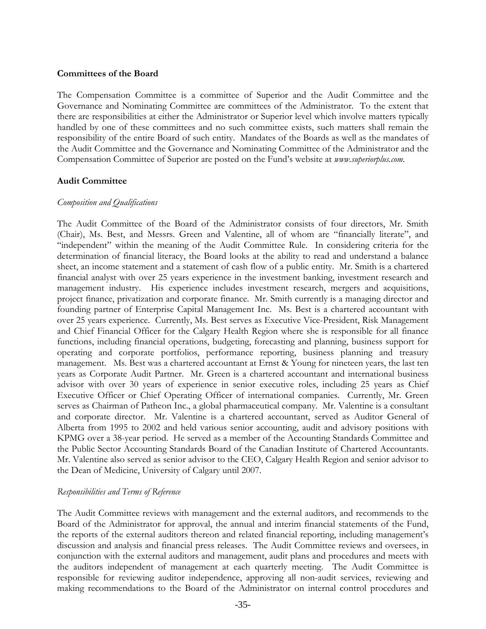#### **Committees of the Board**

The Compensation Committee is a committee of Superior and the Audit Committee and the Governance and Nominating Committee are committees of the Administrator. To the extent that there are responsibilities at either the Administrator or Superior level which involve matters typically handled by one of these committees and no such committee exists, such matters shall remain the responsibility of the entire Board of such entity. Mandates of the Boards as well as the mandates of the Audit Committee and the Governance and Nominating Committee of the Administrator and the Compensation Committee of Superior are posted on the Fund's website at *www.superiorplus.com*.

#### **Audit Committee**

#### *Composition and Qualifications*

The Audit Committee of the Board of the Administrator consists of four directors, Mr. Smith (Chair), Ms. Best, and Messrs. Green and Valentine, all of whom are "financially literate", and "independent" within the meaning of the Audit Committee Rule. In considering criteria for the determination of financial literacy, the Board looks at the ability to read and understand a balance sheet, an income statement and a statement of cash flow of a public entity. Mr. Smith is a chartered financial analyst with over 25 years experience in the investment banking, investment research and management industry. His experience includes investment research, mergers and acquisitions, project finance, privatization and corporate finance. Mr. Smith currently is a managing director and founding partner of Enterprise Capital Management Inc. Ms. Best is a chartered accountant with over 25 years experience. Currently, Ms. Best serves as Executive Vice-President, Risk Management and Chief Financial Officer for the Calgary Health Region where she is responsible for all finance functions, including financial operations, budgeting, forecasting and planning, business support for operating and corporate portfolios, performance reporting, business planning and treasury management. Ms. Best was a chartered accountant at Ernst & Young for nineteen years, the last ten years as Corporate Audit Partner. Mr. Green is a chartered accountant and international business advisor with over 30 years of experience in senior executive roles, including 25 years as Chief Executive Officer or Chief Operating Officer of international companies. Currently, Mr. Green serves as Chairman of Patheon Inc., a global pharmaceutical company. Mr. Valentine is a consultant and corporate director. Mr. Valentine is a chartered accountant, served as Auditor General of Alberta from 1995 to 2002 and held various senior accounting, audit and advisory positions with KPMG over a 38-year period. He served as a member of the Accounting Standards Committee and the Public Sector Accounting Standards Board of the Canadian Institute of Chartered Accountants. Mr. Valentine also served as senior advisor to the CEO, Calgary Health Region and senior advisor to the Dean of Medicine, University of Calgary until 2007.

#### *Responsibilities and Terms of Reference*

The Audit Committee reviews with management and the external auditors, and recommends to the Board of the Administrator for approval, the annual and interim financial statements of the Fund, the reports of the external auditors thereon and related financial reporting, including management's discussion and analysis and financial press releases. The Audit Committee reviews and oversees, in conjunction with the external auditors and management, audit plans and procedures and meets with the auditors independent of management at each quarterly meeting. The Audit Committee is responsible for reviewing auditor independence, approving all non-audit services, reviewing and making recommendations to the Board of the Administrator on internal control procedures and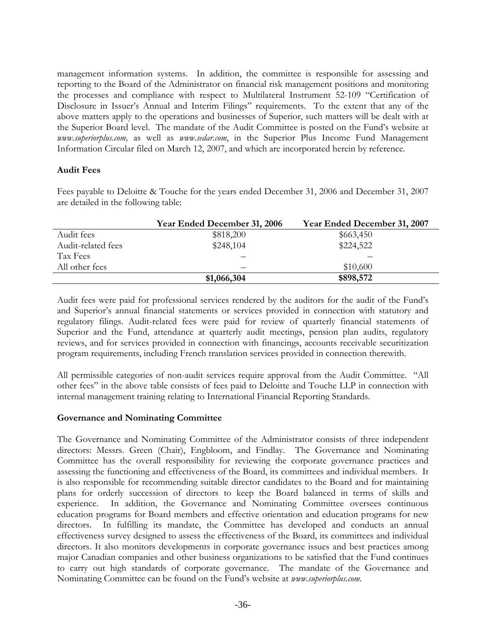management information systems. In addition, the committee is responsible for assessing and reporting to the Board of the Administrator on financial risk management positions and monitoring the processes and compliance with respect to Multilateral Instrument 52-109 "Certification of Disclosure in Issuer's Annual and Interim Filings" requirements. To the extent that any of the above matters apply to the operations and businesses of Superior, such matters will be dealt with at the Superior Board level. The mandate of the Audit Committee is posted on the Fund's website at *www.superiorplus.com,* as well as *www.sedar.com*, in the Superior Plus Income Fund Management Information Circular filed on March 12, 2007, and which are incorporated herein by reference*.* 

# **Audit Fees**

Fees payable to Deloitte & Touche for the years ended December 31, 2006 and December 31, 2007 are detailed in the following table:

|                    | Year Ended December 31, 2006 | Year Ended December 31, 2007 |
|--------------------|------------------------------|------------------------------|
| Audit fees         | \$818,200                    | \$663,450                    |
| Audit-related fees | \$248,104                    | \$224,522                    |
| Tax Fees           |                              |                              |
| All other fees     |                              | \$10,600                     |
|                    | \$1,066,304                  | \$898,572                    |

Audit fees were paid for professional services rendered by the auditors for the audit of the Fund's and Superior's annual financial statements or services provided in connection with statutory and regulatory filings. Audit-related fees were paid for review of quarterly financial statements of Superior and the Fund, attendance at quarterly audit meetings, pension plan audits, regulatory reviews, and for services provided in connection with financings, accounts receivable securitization program requirements, including French translation services provided in connection therewith.

All permissible categories of non-audit services require approval from the Audit Committee. "All other fees" in the above table consists of fees paid to Deloitte and Touche LLP in connection with internal management training relating to International Financial Reporting Standards.

# **Governance and Nominating Committee**

The Governance and Nominating Committee of the Administrator consists of three independent directors: Messrs. Green (Chair), Engbloom, and Findlay. The Governance and Nominating Committee has the overall responsibility for reviewing the corporate governance practices and assessing the functioning and effectiveness of the Board, its committees and individual members. It is also responsible for recommending suitable director candidates to the Board and for maintaining plans for orderly succession of directors to keep the Board balanced in terms of skills and experience. In addition, the Governance and Nominating Committee oversees continuous education programs for Board members and effective orientation and education programs for new directors. In fulfilling its mandate, the Committee has developed and conducts an annual effectiveness survey designed to assess the effectiveness of the Board, its committees and individual directors. It also monitors developments in corporate governance issues and best practices among major Canadian companies and other business organizations to be satisfied that the Fund continues to carry out high standards of corporate governance. The mandate of the Governance and Nominating Committee can be found on the Fund's website at *www.superiorplus.com.*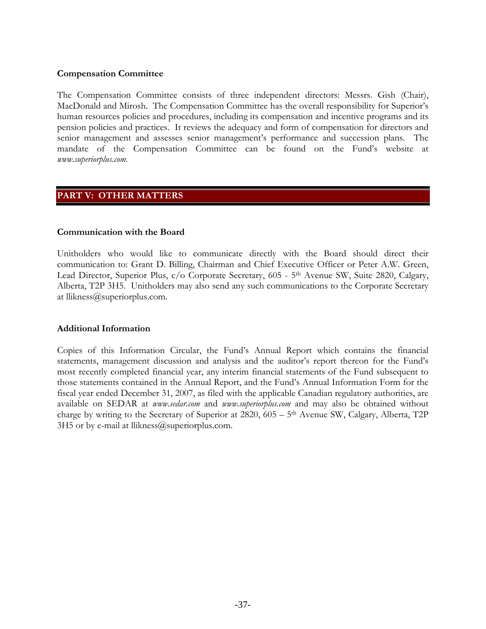## **Compensation Committee**

The Compensation Committee consists of three independent directors: Messrs. Gish (Chair), MacDonald and Mirosh. The Compensation Committee has the overall responsibility for Superior's human resources policies and procedures, including its compensation and incentive programs and its pension policies and practices. It reviews the adequacy and form of compensation for directors and senior management and assesses senior management's performance and succession plans. The mandate of the Compensation Committee can be found on the Fund's website at *www.superiorplus.com.*

# **PART V: OTHER MATTERS**

#### **Communication with the Board**

Unitholders who would like to communicate directly with the Board should direct their communication to: Grant D. Billing, Chairman and Chief Executive Officer or Peter A.W. Green, Lead Director, Superior Plus, c/o Corporate Secretary, 605 - 5<sup>th</sup> Avenue SW, Suite 2820, Calgary, Alberta, T2P 3H5. Unitholders may also send any such communications to the Corporate Secretary at llikness@superiorplus.com.

#### **Additional Information**

Copies of this Information Circular, the Fund's Annual Report which contains the financial statements, management discussion and analysis and the auditor's report thereon for the Fund's most recently completed financial year, any interim financial statements of the Fund subsequent to those statements contained in the Annual Report, and the Fund's Annual Information Form for the fiscal year ended December 31, 2007, as filed with the applicable Canadian regulatory authorities, are available on SEDAR at *www.sedar.com* and *www.superiorplus.com* and may also be obtained without charge by writing to the Secretary of Superior at 2820, 605 – 5<sup>th</sup> Avenue SW, Calgary, Alberta, T2P  $3H5$  or by e-mail at llikness@superiorplus.com.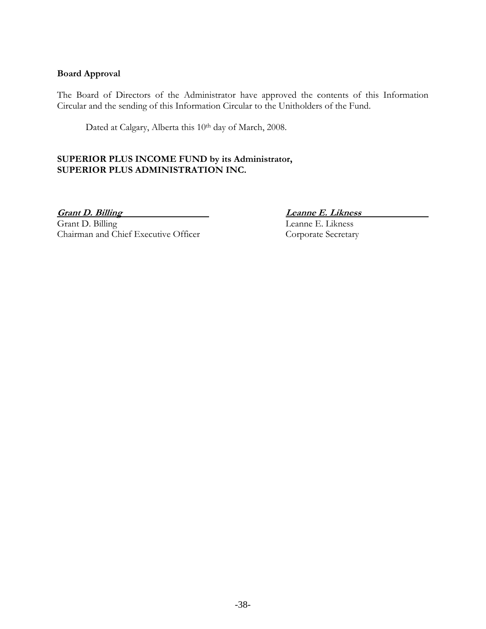# **Board Approval**

The Board of Directors of the Administrator have approved the contents of this Information Circular and the sending of this Information Circular to the Unitholders of the Fund.

Dated at Calgary, Alberta this 10<sup>th</sup> day of March, 2008.

# **SUPERIOR PLUS INCOME FUND by its Administrator, SUPERIOR PLUS ADMINISTRATION INC.**

**Grant D. Billing Leanne E. Likness**<br>
Grant D. Billing Leanne E. Likness Chairman and Chief Executive Officer Corporate Secretary

Leanne E. Likness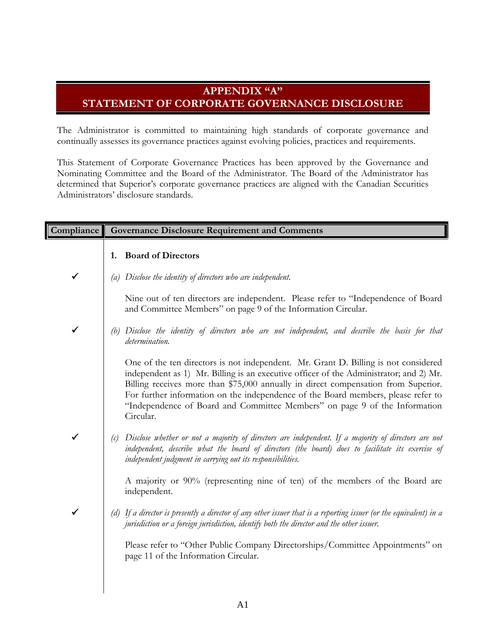# **APPENDIX "A" STATEMENT OF CORPORATE GOVERNANCE DISCLOSURE**

The Administrator is committed to maintaining high standards of corporate governance and continually assesses its governance practices against evolving policies, practices and requirements.

This Statement of Corporate Governance Practices has been approved by the Governance and Nominating Committee and the Board of the Administrator. The Board of the Administrator has determined that Superior's corporate governance practices are aligned with the Canadian Securities Administrators' disclosure standards.

| Compliance   |     | <b>Governance Disclosure Requirement and Comments</b>                                                                                                                                                                                                                                                                                                                                                                                               |
|--------------|-----|-----------------------------------------------------------------------------------------------------------------------------------------------------------------------------------------------------------------------------------------------------------------------------------------------------------------------------------------------------------------------------------------------------------------------------------------------------|
|              | 1.  | <b>Board of Directors</b>                                                                                                                                                                                                                                                                                                                                                                                                                           |
| ✓            | (a) | Disclose the identity of directors who are independent.                                                                                                                                                                                                                                                                                                                                                                                             |
|              |     | Nine out of ten directors are independent. Please refer to "Independence of Board<br>and Committee Members" on page 9 of the Information Circular.                                                                                                                                                                                                                                                                                                  |
| $\checkmark$ | (b) | Disclose the identity of directors who are not independent, and describe the basis for that<br>determination.                                                                                                                                                                                                                                                                                                                                       |
|              |     | One of the ten directors is not independent. Mr. Grant D. Billing is not considered<br>independent as 1) Mr. Billing is an executive officer of the Administrator; and 2) Mr.<br>Billing receives more than \$75,000 annually in direct compensation from Superior.<br>For further information on the independence of the Board members, please refer to<br>"Independence of Board and Committee Members" on page 9 of the Information<br>Circular. |
| ✓            | (c) | Disclose whether or not a majority of directors are independent. If a majority of directors are not<br>independent, describe what the board of directors (the board) does to facilitate its exercise of<br>independent judgment in carrying out its responsibilities.                                                                                                                                                                               |
|              |     | A majority or 90% (representing nine of ten) of the members of the Board are<br>independent.                                                                                                                                                                                                                                                                                                                                                        |
| $\checkmark$ |     | (d) If a director is presently a director of any other issuer that is a reporting issuer (or the equivalent) in a<br>jurisdiction or a foreign jurisdiction, identify both the director and the other issuer.                                                                                                                                                                                                                                       |
|              |     | Please refer to "Other Public Company Directorships/Committee Appointments" on<br>page 11 of the Information Circular.                                                                                                                                                                                                                                                                                                                              |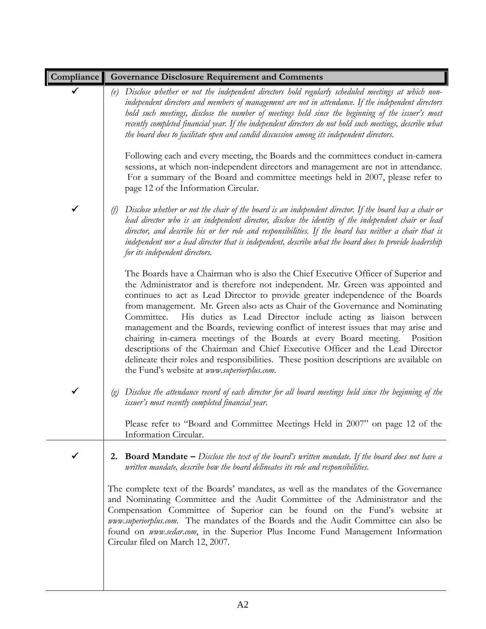| Compliance   | <b>Governance Disclosure Requirement and Comments</b>                                                                                                                                                                                                                                                                                                                                                                                                                                                                                                                                                                                                                                                                                                                                                                       |
|--------------|-----------------------------------------------------------------------------------------------------------------------------------------------------------------------------------------------------------------------------------------------------------------------------------------------------------------------------------------------------------------------------------------------------------------------------------------------------------------------------------------------------------------------------------------------------------------------------------------------------------------------------------------------------------------------------------------------------------------------------------------------------------------------------------------------------------------------------|
|              | Disclose whether or not the independent directors hold regularly scheduled meetings at which non-<br>(e)<br>independent directors and members of management are not in attendance. If the independent directors<br>hold such meetings, disclose the number of meetings held since the beginning of the issuer's most<br>recently completed financial year. If the independent directors do not hold such meetings, describe what<br>the board does to facilitate open and candid discussion among its independent directors.                                                                                                                                                                                                                                                                                                |
|              | Following each and every meeting, the Boards and the committees conduct in-camera<br>sessions, at which non-independent directors and management are not in attendance.<br>For a summary of the Board and committee meetings held in 2007, please refer to<br>page 12 of the Information Circular.                                                                                                                                                                                                                                                                                                                                                                                                                                                                                                                          |
| ✓            | Disclose whether or not the chair of the board is an independent director. If the board has a chair or<br>(f)<br>lead director who is an independent director, disclose the identity of the independent chair or lead<br>director, and describe his or her role and responsibilities. If the board has neither a chair that is<br>independent nor a lead director that is independent, describe what the board does to provide leadership<br>for its independent directors.                                                                                                                                                                                                                                                                                                                                                 |
|              | The Boards have a Chairman who is also the Chief Executive Officer of Superior and<br>the Administrator and is therefore not independent. Mr. Green was appointed and<br>continues to act as Lead Director to provide greater independence of the Boards<br>from management. Mr. Green also acts as Chair of the Governance and Nominating<br>Committee.<br>His duties as Lead Director include acting as liaison between<br>management and the Boards, reviewing conflict of interest issues that may arise and<br>chairing in-camera meetings of the Boards at every Board meeting. Position<br>descriptions of the Chairman and Chief Executive Officer and the Lead Director<br>delineate their roles and responsibilities. These position descriptions are available on<br>the Fund's website at www.superiorplus.com. |
| $\checkmark$ | (g) Disclose the attendance record of each director for all board meetings held since the beginning of the<br>issuer's most recently completed financial year.                                                                                                                                                                                                                                                                                                                                                                                                                                                                                                                                                                                                                                                              |
|              | Please refer to "Board and Committee Meetings Held in 2007" on page 12 of the<br>Information Circular.                                                                                                                                                                                                                                                                                                                                                                                                                                                                                                                                                                                                                                                                                                                      |
| $\checkmark$ | <b>2. Board Mandate</b> $-$ <i>Disclose the text of the board's written mandate. If the board does not have a</i><br>written mandate, describe how the board delineates its role and responsibilities.                                                                                                                                                                                                                                                                                                                                                                                                                                                                                                                                                                                                                      |
|              | The complete text of the Boards' mandates, as well as the mandates of the Governance<br>and Nominating Committee and the Audit Committee of the Administrator and the<br>Compensation Committee of Superior can be found on the Fund's website at<br>www.superiorplus.com. The mandates of the Boards and the Audit Committee can also be<br>found on www.sedar.com, in the Superior Plus Income Fund Management Information<br>Circular filed on March 12, 2007.                                                                                                                                                                                                                                                                                                                                                           |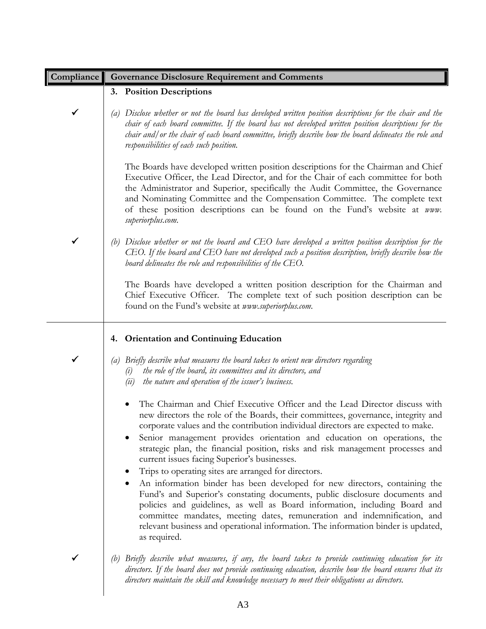| Compliance | <b>Governance Disclosure Requirement and Comments</b>                                                                                                                                                                                                                                                                                                                                                                                                                                                                                                                                                                                                                                                                                                                                                                                                                                                                                                  |
|------------|--------------------------------------------------------------------------------------------------------------------------------------------------------------------------------------------------------------------------------------------------------------------------------------------------------------------------------------------------------------------------------------------------------------------------------------------------------------------------------------------------------------------------------------------------------------------------------------------------------------------------------------------------------------------------------------------------------------------------------------------------------------------------------------------------------------------------------------------------------------------------------------------------------------------------------------------------------|
|            | 3. Position Descriptions                                                                                                                                                                                                                                                                                                                                                                                                                                                                                                                                                                                                                                                                                                                                                                                                                                                                                                                               |
| ✓          | Disclose whether or not the board has developed written position descriptions for the chair and the<br>$\left(a\right)$<br>chair of each board committee. If the board has not developed written position descriptions for the<br>chair and/or the chair of each board committee, briefly describe how the board delineates the role and<br>responsibilities of each such position.                                                                                                                                                                                                                                                                                                                                                                                                                                                                                                                                                                    |
|            | The Boards have developed written position descriptions for the Chairman and Chief<br>Executive Officer, the Lead Director, and for the Chair of each committee for both<br>the Administrator and Superior, specifically the Audit Committee, the Governance<br>and Nominating Committee and the Compensation Committee. The complete text<br>of these position descriptions can be found on the Fund's website at www.<br>superiorplus.com.                                                                                                                                                                                                                                                                                                                                                                                                                                                                                                           |
| ✔          | Disclose whether or not the board and CEO have developed a written position description for the<br>(b)<br>CEO. If the board and CEO have not developed such a position description, briefly describe how the<br>board delineates the role and responsibilities of the $\epsilon$ EO.                                                                                                                                                                                                                                                                                                                                                                                                                                                                                                                                                                                                                                                                   |
|            | The Boards have developed a written position description for the Chairman and<br>Chief Executive Officer. The complete text of such position description can be<br>found on the Fund's website at www.superiorplus.com.                                                                                                                                                                                                                                                                                                                                                                                                                                                                                                                                                                                                                                                                                                                                |
|            | <b>Orientation and Continuing Education</b><br>4.                                                                                                                                                                                                                                                                                                                                                                                                                                                                                                                                                                                                                                                                                                                                                                                                                                                                                                      |
| ✓          | Briefly describe what measures the board takes to orient new directors regarding<br>(a)<br>the role of the board, its committees and its directors, and<br>$\left( \iota \right)$<br>the nature and operation of the issuer's business.<br>(ii)                                                                                                                                                                                                                                                                                                                                                                                                                                                                                                                                                                                                                                                                                                        |
|            | The Chairman and Chief Executive Officer and the Lead Director discuss with<br>new directors the role of the Boards, their committees, governance, integrity and<br>corporate values and the contribution individual directors are expected to make.<br>Senior management provides orientation and education on operations, the<br>strategic plan, the financial position, risks and risk management processes and<br>current issues facing Superior's businesses.<br>Trips to operating sites are arranged for directors.<br>An information binder has been developed for new directors, containing the<br>Fund's and Superior's constating documents, public disclosure documents and<br>policies and guidelines, as well as Board information, including Board and<br>committee mandates, meeting dates, remuneration and indemnification, and<br>relevant business and operational information. The information binder is updated,<br>as required. |
|            | Briefly describe what measures, if any, the board takes to provide continuing education for its<br>(b)<br>directors. If the board does not provide continuing education, describe how the board ensures that its<br>directors maintain the skill and knowledge necessary to meet their obligations as directors.                                                                                                                                                                                                                                                                                                                                                                                                                                                                                                                                                                                                                                       |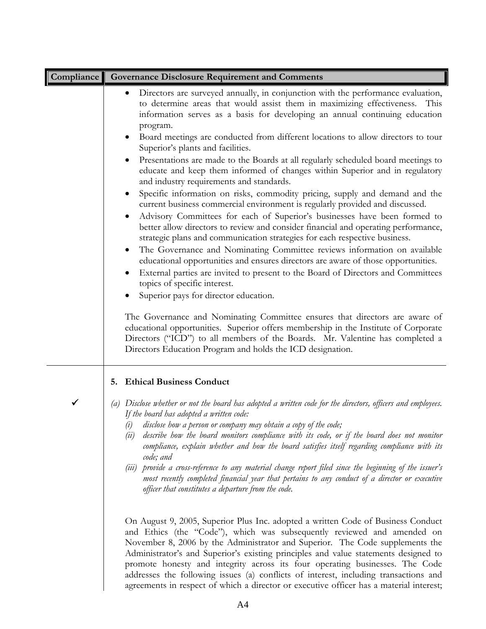| Compliance | <b>Governance Disclosure Requirement and Comments</b>                                                                                                                                                                                                                                                                                                                                                                                                                                                                                                                                                   |
|------------|---------------------------------------------------------------------------------------------------------------------------------------------------------------------------------------------------------------------------------------------------------------------------------------------------------------------------------------------------------------------------------------------------------------------------------------------------------------------------------------------------------------------------------------------------------------------------------------------------------|
|            | Directors are surveyed annually, in conjunction with the performance evaluation,<br>$\bullet$<br>to determine areas that would assist them in maximizing effectiveness.<br>This<br>information serves as a basis for developing an annual continuing education<br>program.                                                                                                                                                                                                                                                                                                                              |
|            | Board meetings are conducted from different locations to allow directors to tour<br>Superior's plants and facilities.                                                                                                                                                                                                                                                                                                                                                                                                                                                                                   |
|            | Presentations are made to the Boards at all regularly scheduled board meetings to<br>educate and keep them informed of changes within Superior and in regulatory<br>and industry requirements and standards.                                                                                                                                                                                                                                                                                                                                                                                            |
|            | Specific information on risks, commodity pricing, supply and demand and the<br>$\bullet$<br>current business commercial environment is regularly provided and discussed.<br>Advisory Committees for each of Superior's businesses have been formed to<br>better allow directors to review and consider financial and operating performance,<br>strategic plans and communication strategies for each respective business.<br>The Governance and Nominating Committee reviews information on available<br>$\bullet$<br>educational opportunities and ensures directors are aware of those opportunities. |
|            | External parties are invited to present to the Board of Directors and Committees<br>topics of specific interest.                                                                                                                                                                                                                                                                                                                                                                                                                                                                                        |
|            | Superior pays for director education.                                                                                                                                                                                                                                                                                                                                                                                                                                                                                                                                                                   |
|            | The Governance and Nominating Committee ensures that directors are aware of<br>educational opportunities. Superior offers membership in the Institute of Corporate<br>Directors ("ICD") to all members of the Boards. Mr. Valentine has completed a<br>Directors Education Program and holds the ICD designation.                                                                                                                                                                                                                                                                                       |
|            | 5. Ethical Business Conduct                                                                                                                                                                                                                                                                                                                                                                                                                                                                                                                                                                             |
| ✓          | Disclose whether or not the board has adopted a written code for the directors, officers and employees.<br>(a)<br>If the board has adopted a written code:<br>disclose how a person or company may obtain a copy of the code;<br>(i)<br>describe how the board monitors compliance with its code, or if the board does not monitor<br>(ii)<br>compliance, explain whether and how the board satisfies itself regarding compliance with its<br>code; and<br>(iii) provide a cross-reference to any material change report filed since the beginning of the issuer's                                      |
|            | most recently completed financial year that pertains to any conduct of a director or executive<br>officer that constitutes a departure from the code.                                                                                                                                                                                                                                                                                                                                                                                                                                                   |
|            | On August 9, 2005, Superior Plus Inc. adopted a written Code of Business Conduct<br>and Ethics (the "Code"), which was subsequently reviewed and amended on<br>November 8, 2006 by the Administrator and Superior. The Code supplements the<br>Administrator's and Superior's existing principles and value statements designed to<br>promote honesty and integrity across its four operating businesses. The Code<br>addresses the following issues (a) conflicts of interest, including transactions and<br>agreements in respect of which a director or executive officer has a material interest;   |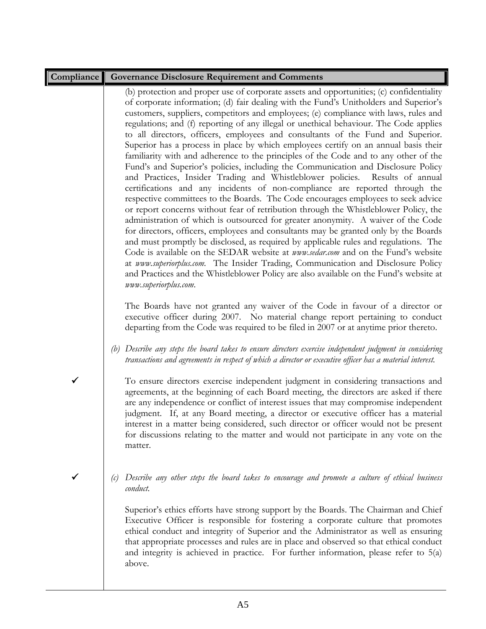| <b>Compliance</b> | <b>Governance Disclosure Requirement and Comments</b>                                                                                                                                                                                                                                                                                                                                                                                                                                                                                                                                                                                                                                                                                                                                                                                                                                                                                                                                                                                                                                                                                                                                                                                                                                                                                                                                                                                                                                                                                                                                                                                                                                                                     |
|-------------------|---------------------------------------------------------------------------------------------------------------------------------------------------------------------------------------------------------------------------------------------------------------------------------------------------------------------------------------------------------------------------------------------------------------------------------------------------------------------------------------------------------------------------------------------------------------------------------------------------------------------------------------------------------------------------------------------------------------------------------------------------------------------------------------------------------------------------------------------------------------------------------------------------------------------------------------------------------------------------------------------------------------------------------------------------------------------------------------------------------------------------------------------------------------------------------------------------------------------------------------------------------------------------------------------------------------------------------------------------------------------------------------------------------------------------------------------------------------------------------------------------------------------------------------------------------------------------------------------------------------------------------------------------------------------------------------------------------------------------|
|                   | (b) protection and proper use of corporate assets and opportunities; (c) confidentiality<br>of corporate information; (d) fair dealing with the Fund's Unitholders and Superior's<br>customers, suppliers, competitors and employees; (e) compliance with laws, rules and<br>regulations; and (f) reporting of any illegal or unethical behaviour. The Code applies<br>to all directors, officers, employees and consultants of the Fund and Superior.<br>Superior has a process in place by which employees certify on an annual basis their<br>familiarity with and adherence to the principles of the Code and to any other of the<br>Fund's and Superior's policies, including the Communication and Disclosure Policy<br>and Practices, Insider Trading and Whistleblower policies. Results of annual<br>certifications and any incidents of non-compliance are reported through the<br>respective committees to the Boards. The Code encourages employees to seek advice<br>or report concerns without fear of retribution through the Whistleblower Policy, the<br>administration of which is outsourced for greater anonymity. A waiver of the Code<br>for directors, officers, employees and consultants may be granted only by the Boards<br>and must promptly be disclosed, as required by applicable rules and regulations. The<br>Code is available on the SEDAR website at www.sedar.com and on the Fund's website<br>at www.superiorplus.com. The Insider Trading, Communication and Disclosure Policy<br>and Practices and the Whistleblower Policy are also available on the Fund's website at<br>www.superiorplus.com.<br>The Boards have not granted any waiver of the Code in favour of a director or |
|                   | executive officer during 2007. No material change report pertaining to conduct<br>departing from the Code was required to be filed in 2007 or at anytime prior thereto.                                                                                                                                                                                                                                                                                                                                                                                                                                                                                                                                                                                                                                                                                                                                                                                                                                                                                                                                                                                                                                                                                                                                                                                                                                                                                                                                                                                                                                                                                                                                                   |
|                   | (b) Describe any steps the board takes to ensure directors exercise independent judgment in considering<br>transactions and agreements in respect of which a director or executive officer has a material interest.                                                                                                                                                                                                                                                                                                                                                                                                                                                                                                                                                                                                                                                                                                                                                                                                                                                                                                                                                                                                                                                                                                                                                                                                                                                                                                                                                                                                                                                                                                       |
| ✓                 | To ensure directors exercise independent judgment in considering transactions and<br>agreements, at the beginning of each Board meeting, the directors are asked if there<br>are any independence or conflict of interest issues that may compromise independent<br>judgment. If, at any Board meeting, a director or executive officer has a material<br>interest in a matter being considered, such director or officer would not be present<br>for discussions relating to the matter and would not participate in any vote on the<br>matter.                                                                                                                                                                                                                                                                                                                                                                                                                                                                                                                                                                                                                                                                                                                                                                                                                                                                                                                                                                                                                                                                                                                                                                          |
| ✓                 | Describe any other steps the board takes to encourage and promote a culture of ethical business<br>(c)<br>conduct.                                                                                                                                                                                                                                                                                                                                                                                                                                                                                                                                                                                                                                                                                                                                                                                                                                                                                                                                                                                                                                                                                                                                                                                                                                                                                                                                                                                                                                                                                                                                                                                                        |
|                   | Superior's ethics efforts have strong support by the Boards. The Chairman and Chief<br>Executive Officer is responsible for fostering a corporate culture that promotes<br>ethical conduct and integrity of Superior and the Administrator as well as ensuring<br>that appropriate processes and rules are in place and observed so that ethical conduct<br>and integrity is achieved in practice. For further information, please refer to 5(a)<br>above.                                                                                                                                                                                                                                                                                                                                                                                                                                                                                                                                                                                                                                                                                                                                                                                                                                                                                                                                                                                                                                                                                                                                                                                                                                                                |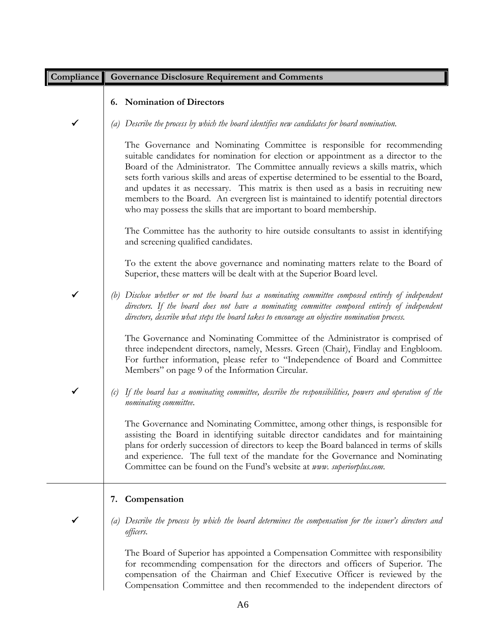| <b>Compliance</b> | <b>Governance Disclosure Requirement and Comments</b>                                                                                                                                                                                                                                                                                                                                                                                                                                                                                                                                                 |
|-------------------|-------------------------------------------------------------------------------------------------------------------------------------------------------------------------------------------------------------------------------------------------------------------------------------------------------------------------------------------------------------------------------------------------------------------------------------------------------------------------------------------------------------------------------------------------------------------------------------------------------|
|                   | 6. Nomination of Directors                                                                                                                                                                                                                                                                                                                                                                                                                                                                                                                                                                            |
|                   | Describe the process by which the board identifies new candidates for board nomination.                                                                                                                                                                                                                                                                                                                                                                                                                                                                                                               |
|                   | The Governance and Nominating Committee is responsible for recommending<br>suitable candidates for nomination for election or appointment as a director to the<br>Board of the Administrator. The Committee annually reviews a skills matrix, which<br>sets forth various skills and areas of expertise determined to be essential to the Board,<br>and updates it as necessary. This matrix is then used as a basis in recruiting new<br>members to the Board. An evergreen list is maintained to identify potential directors<br>who may possess the skills that are important to board membership. |
|                   | The Committee has the authority to hire outside consultants to assist in identifying<br>and screening qualified candidates.                                                                                                                                                                                                                                                                                                                                                                                                                                                                           |
|                   | To the extent the above governance and nominating matters relate to the Board of<br>Superior, these matters will be dealt with at the Superior Board level.                                                                                                                                                                                                                                                                                                                                                                                                                                           |
|                   | Disclose whether or not the board has a nominating committee composed entirely of independent<br>directors. If the board does not have a nominating committee composed entirely of independent<br>directors, describe what steps the board takes to encourage an objective nomination process.                                                                                                                                                                                                                                                                                                        |
|                   | The Governance and Nominating Committee of the Administrator is comprised of<br>three independent directors, namely, Messrs. Green (Chair), Findlay and Engbloom.<br>For further information, please refer to "Independence of Board and Committee<br>Members" on page 9 of the Information Circular.                                                                                                                                                                                                                                                                                                 |
|                   | If the board has a nominating committee, describe the responsibilities, powers and operation of the<br>(c)<br>nominating committee.                                                                                                                                                                                                                                                                                                                                                                                                                                                                   |
|                   | The Governance and Nominating Committee, among other things, is responsible for<br>assisting the Board in identifying suitable director candidates and for maintaining<br>plans for orderly succession of directors to keep the Board balanced in terms of skills<br>and experience. The full text of the mandate for the Governance and Nominating<br>Committee can be found on the Fund's website at www. superiorplus.com.                                                                                                                                                                         |
|                   | Compensation<br>7.                                                                                                                                                                                                                                                                                                                                                                                                                                                                                                                                                                                    |
| ✔                 | Describe the process by which the board determines the compensation for the issuer's directors and<br>$\left( a\right)$<br>officers.                                                                                                                                                                                                                                                                                                                                                                                                                                                                  |
|                   | The Board of Superior has appointed a Compensation Committee with responsibility<br>for recommending compensation for the directors and officers of Superior. The<br>compensation of the Chairman and Chief Executive Officer is reviewed by the<br>Compensation Committee and then recommended to the independent directors of                                                                                                                                                                                                                                                                       |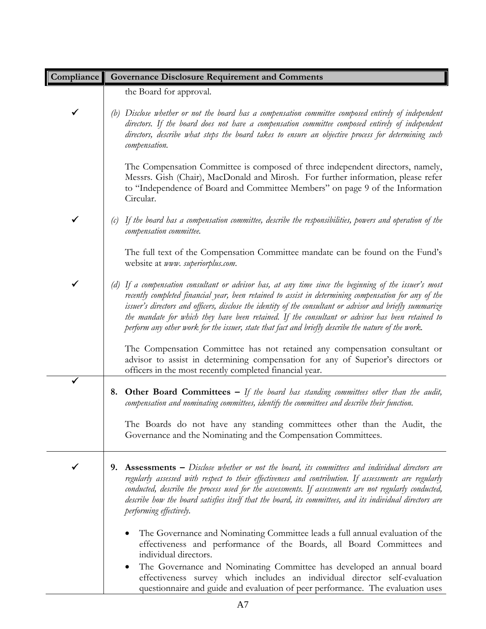| Compliance | <b>Governance Disclosure Requirement and Comments</b>                                                                                                                                                                                                                                                                                                                                                                                                                                                                                     |
|------------|-------------------------------------------------------------------------------------------------------------------------------------------------------------------------------------------------------------------------------------------------------------------------------------------------------------------------------------------------------------------------------------------------------------------------------------------------------------------------------------------------------------------------------------------|
|            | the Board for approval.                                                                                                                                                                                                                                                                                                                                                                                                                                                                                                                   |
| ✔          | Disclose whether or not the board has a compensation committee composed entirely of independent<br>(b)<br>directors. If the board does not have a compensation committee composed entirely of independent<br>directors, describe what steps the board takes to ensure an objective process for determining such<br>compensation.                                                                                                                                                                                                          |
|            | The Compensation Committee is composed of three independent directors, namely,<br>Messrs. Gish (Chair), MacDonald and Mirosh. For further information, please refer<br>to "Independence of Board and Committee Members" on page 9 of the Information<br>Circular.                                                                                                                                                                                                                                                                         |
| ✓          | If the board has a compensation committee, describe the responsibilities, powers and operation of the<br>(c)<br>compensation committee.                                                                                                                                                                                                                                                                                                                                                                                                   |
|            | The full text of the Compensation Committee mandate can be found on the Fund's<br>website at www. superiorplus.com.                                                                                                                                                                                                                                                                                                                                                                                                                       |
|            | If a compensation consultant or advisor has, at any time since the beginning of the issuer's most<br>(d)<br>recently completed financial year, been retained to assist in determining compensation for any of the<br>issuer's directors and officers, disclose the identity of the consultant or advisor and briefly summarize<br>the mandate for which they have been retained. If the consultant or advisor has been retained to<br>perform any other work for the issuer, state that fact and briefly describe the nature of the work. |
|            | The Compensation Committee has not retained any compensation consultant or<br>advisor to assist in determining compensation for any of Superior's directors or<br>officers in the most recently completed financial year.                                                                                                                                                                                                                                                                                                                 |
|            | <b>8. Other Board Committees –</b> If the board has standing committees other than the audit,<br>compensation and nominating committees, identify the committees and describe their function.                                                                                                                                                                                                                                                                                                                                             |
|            | The Boards do not have any standing committees other than the Audit, the<br>Governance and the Nominating and the Compensation Committees.                                                                                                                                                                                                                                                                                                                                                                                                |
|            | <b>Assessments</b> – Disclose whether or not the board, its committees and individual directors are<br>9.<br>regularly assessed with respect to their effectiveness and contribution. If assessments are regularly<br>conducted, describe the process used for the assessments. If assessments are not regularly conducted,<br>describe how the board satisfies itself that the board, its committees, and its individual directors are<br>performing effectively.                                                                        |
|            | The Governance and Nominating Committee leads a full annual evaluation of the<br>effectiveness and performance of the Boards, all Board Committees and<br>individual directors.                                                                                                                                                                                                                                                                                                                                                           |
|            | The Governance and Nominating Committee has developed an annual board<br>$\bullet$<br>effectiveness survey which includes an individual director self-evaluation<br>questionnaire and guide and evaluation of peer performance. The evaluation uses                                                                                                                                                                                                                                                                                       |